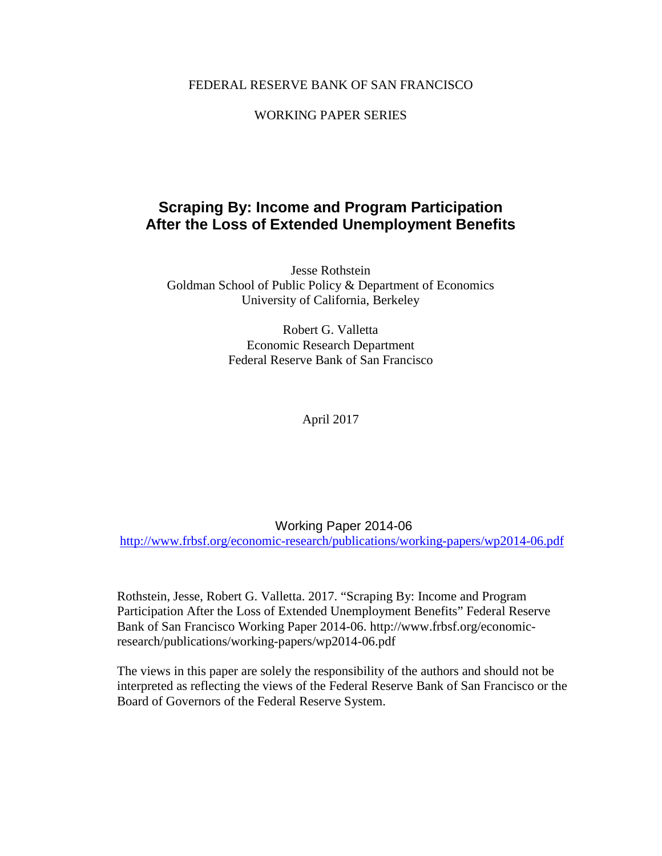# FEDERAL RESERVE BANK OF SAN FRANCISCO

# WORKING PAPER SERIES

# **Scraping By: Income and Program Participation After the Loss of Extended Unemployment Benefits**

Jesse Rothstein Goldman School of Public Policy & Department of Economics University of California, Berkeley

> Robert G. Valletta Economic Research Department Federal Reserve Bank of San Francisco

> > April 2017

Working Paper 2014-06

<http://www.frbsf.org/economic-research/publications/working-papers/wp2014-06.pdf>

Rothstein, Jesse, Robert G. Valletta. 2017. "Scraping By: Income and Program Participation After the Loss of Extended Unemployment Benefits" Federal Reserve Bank of San Francisco Working Paper 2014-06. http://www.frbsf.org/economicresearch/publications/working-papers/wp2014-06.pdf

The views in this paper are solely the responsibility of the authors and should not be interpreted as reflecting the views of the Federal Reserve Bank of San Francisco or the Board of Governors of the Federal Reserve System.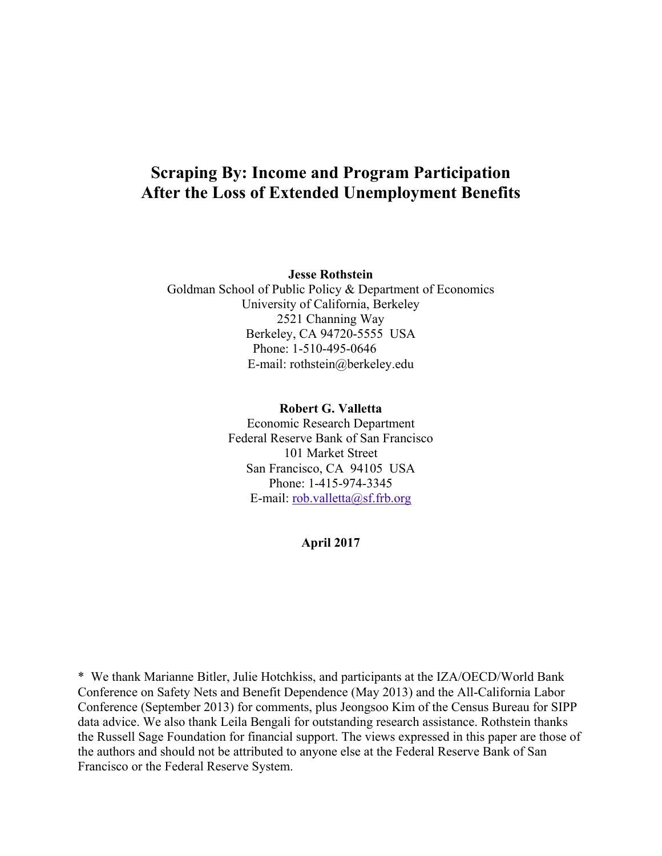# **Scraping By: Income and Program Participation After the Loss of Extended Unemployment Benefits**

**Jesse Rothstein** 

Goldman School of Public Policy & Department of Economics University of California, Berkeley 2521 Channing Way Berkeley, CA 94720-5555 USA Phone: 1-510-495-0646 E-mail: rothstein@berkeley.edu

> **Robert G. Valletta** Economic Research Department Federal Reserve Bank of San Francisco 101 Market Street San Francisco, CA 94105 USA Phone: 1-415-974-3345 E-mail: <u>rob.valletta@sf.frb.org</u>

> > **April 2017**

\* We thank Marianne Bitler, Julie Hotchkiss, and participants at the IZA/OECD/World Bank Conference on Safety Nets and Benefit Dependence (May 2013) and the All-California Labor Conference (September 2013) for comments, plus Jeongsoo Kim of the Census Bureau for SIPP data advice. We also thank Leila Bengali for outstanding research assistance. Rothstein thanks the Russell Sage Foundation for financial support. The views expressed in this paper are those of the authors and should not be attributed to anyone else at the Federal Reserve Bank of San Francisco or the Federal Reserve System.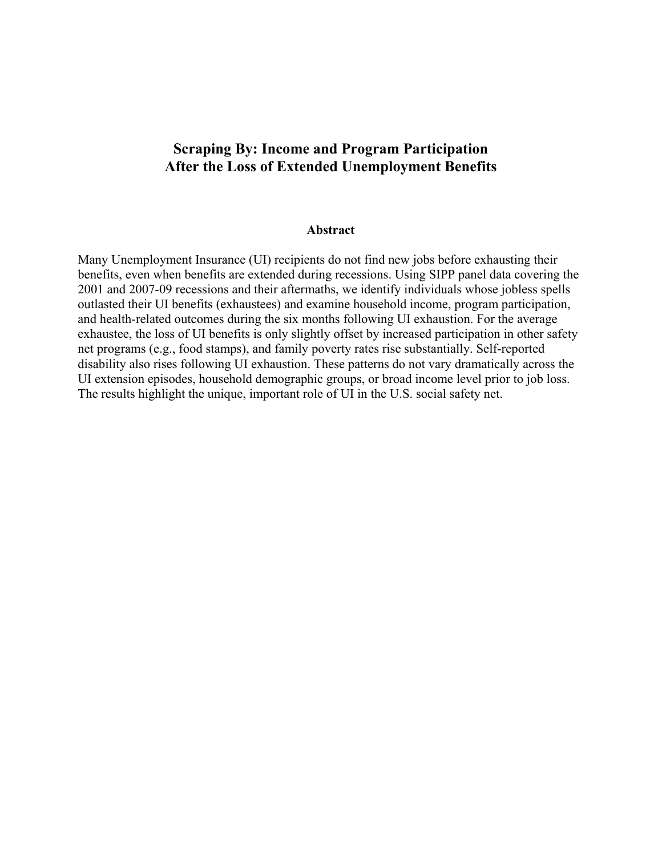# **Scraping By: Income and Program Participation After the Loss of Extended Unemployment Benefits**

### **Abstract**

Many Unemployment Insurance (UI) recipients do not find new jobs before exhausting their benefits, even when benefits are extended during recessions. Using SIPP panel data covering the 2001 and 2007-09 recessions and their aftermaths, we identify individuals whose jobless spells outlasted their UI benefits (exhaustees) and examine household income, program participation, and health-related outcomes during the six months following UI exhaustion. For the average exhaustee, the loss of UI benefits is only slightly offset by increased participation in other safety net programs (e.g., food stamps), and family poverty rates rise substantially. Self-reported disability also rises following UI exhaustion. These patterns do not vary dramatically across the UI extension episodes, household demographic groups, or broad income level prior to job loss. The results highlight the unique, important role of UI in the U.S. social safety net.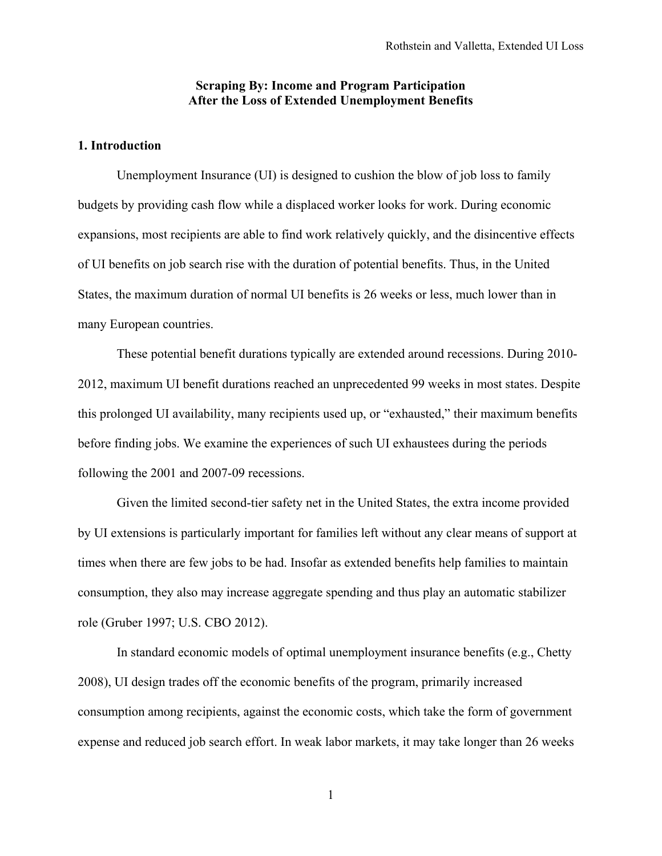# **Scraping By: Income and Program Participation After the Loss of Extended Unemployment Benefits**

# **1. Introduction**

Unemployment Insurance (UI) is designed to cushion the blow of job loss to family budgets by providing cash flow while a displaced worker looks for work. During economic expansions, most recipients are able to find work relatively quickly, and the disincentive effects of UI benefits on job search rise with the duration of potential benefits. Thus, in the United States, the maximum duration of normal UI benefits is 26 weeks or less, much lower than in many European countries.

These potential benefit durations typically are extended around recessions. During 2010- 2012, maximum UI benefit durations reached an unprecedented 99 weeks in most states. Despite this prolonged UI availability, many recipients used up, or "exhausted," their maximum benefits before finding jobs. We examine the experiences of such UI exhaustees during the periods following the 2001 and 2007-09 recessions.

Given the limited second-tier safety net in the United States, the extra income provided by UI extensions is particularly important for families left without any clear means of support at times when there are few jobs to be had. Insofar as extended benefits help families to maintain consumption, they also may increase aggregate spending and thus play an automatic stabilizer role (Gruber 1997; U.S. CBO 2012).

In standard economic models of optimal unemployment insurance benefits (e.g., Chetty 2008), UI design trades off the economic benefits of the program, primarily increased consumption among recipients, against the economic costs, which take the form of government expense and reduced job search effort. In weak labor markets, it may take longer than 26 weeks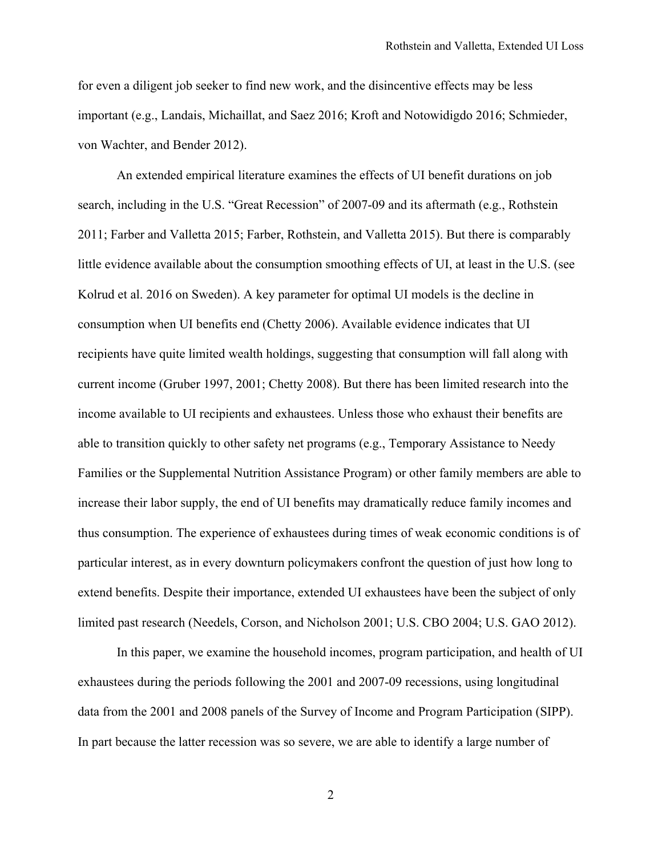for even a diligent job seeker to find new work, and the disincentive effects may be less important (e.g., Landais, Michaillat, and Saez 2016; Kroft and Notowidigdo 2016; Schmieder, von Wachter, and Bender 2012).

An extended empirical literature examines the effects of UI benefit durations on job search, including in the U.S. "Great Recession" of 2007-09 and its aftermath (e.g., Rothstein 2011; Farber and Valletta 2015; Farber, Rothstein, and Valletta 2015). But there is comparably little evidence available about the consumption smoothing effects of UI, at least in the U.S. (see Kolrud et al. 2016 on Sweden). A key parameter for optimal UI models is the decline in consumption when UI benefits end (Chetty 2006). Available evidence indicates that UI recipients have quite limited wealth holdings, suggesting that consumption will fall along with current income (Gruber 1997, 2001; Chetty 2008). But there has been limited research into the income available to UI recipients and exhaustees. Unless those who exhaust their benefits are able to transition quickly to other safety net programs (e.g., Temporary Assistance to Needy Families or the Supplemental Nutrition Assistance Program) or other family members are able to increase their labor supply, the end of UI benefits may dramatically reduce family incomes and thus consumption. The experience of exhaustees during times of weak economic conditions is of particular interest, as in every downturn policymakers confront the question of just how long to extend benefits. Despite their importance, extended UI exhaustees have been the subject of only limited past research (Needels, Corson, and Nicholson 2001; U.S. CBO 2004; U.S. GAO 2012).

In this paper, we examine the household incomes, program participation, and health of UI exhaustees during the periods following the 2001 and 2007-09 recessions, using longitudinal data from the 2001 and 2008 panels of the Survey of Income and Program Participation (SIPP). In part because the latter recession was so severe, we are able to identify a large number of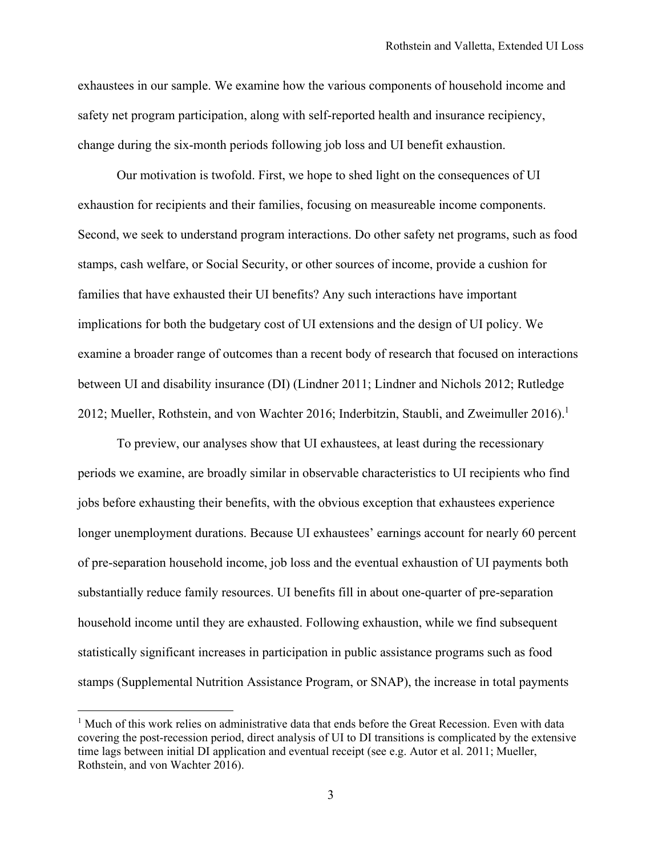exhaustees in our sample. We examine how the various components of household income and safety net program participation, along with self-reported health and insurance recipiency, change during the six-month periods following job loss and UI benefit exhaustion.

Our motivation is twofold. First, we hope to shed light on the consequences of UI exhaustion for recipients and their families, focusing on measureable income components. Second, we seek to understand program interactions. Do other safety net programs, such as food stamps, cash welfare, or Social Security, or other sources of income, provide a cushion for families that have exhausted their UI benefits? Any such interactions have important implications for both the budgetary cost of UI extensions and the design of UI policy. We examine a broader range of outcomes than a recent body of research that focused on interactions between UI and disability insurance (DI) (Lindner 2011; Lindner and Nichols 2012; Rutledge 2012; Mueller, Rothstein, and von Wachter 2016; Inderbitzin, Staubli, and Zweimuller 2016).<sup>1</sup>

To preview, our analyses show that UI exhaustees, at least during the recessionary periods we examine, are broadly similar in observable characteristics to UI recipients who find jobs before exhausting their benefits, with the obvious exception that exhaustees experience longer unemployment durations. Because UI exhaustees' earnings account for nearly 60 percent of pre-separation household income, job loss and the eventual exhaustion of UI payments both substantially reduce family resources. UI benefits fill in about one-quarter of pre-separation household income until they are exhausted. Following exhaustion, while we find subsequent statistically significant increases in participation in public assistance programs such as food stamps (Supplemental Nutrition Assistance Program, or SNAP), the increase in total payments

<u>.</u>

<sup>&</sup>lt;sup>1</sup> Much of this work relies on administrative data that ends before the Great Recession. Even with data covering the post-recession period, direct analysis of UI to DI transitions is complicated by the extensive time lags between initial DI application and eventual receipt (see e.g. Autor et al. 2011; Mueller, Rothstein, and von Wachter 2016).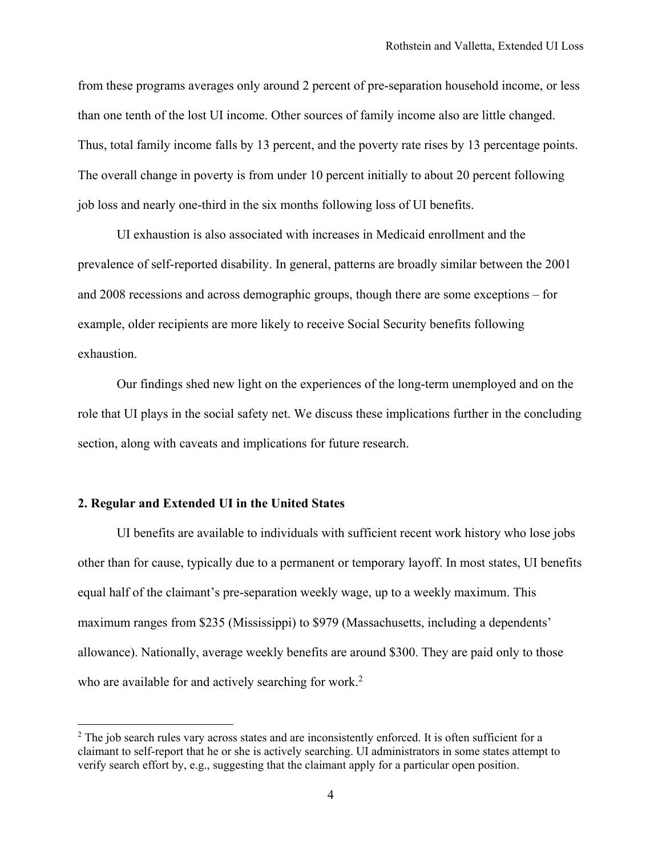from these programs averages only around 2 percent of pre-separation household income, or less than one tenth of the lost UI income. Other sources of family income also are little changed. Thus, total family income falls by 13 percent, and the poverty rate rises by 13 percentage points. The overall change in poverty is from under 10 percent initially to about 20 percent following job loss and nearly one-third in the six months following loss of UI benefits.

UI exhaustion is also associated with increases in Medicaid enrollment and the prevalence of self-reported disability. In general, patterns are broadly similar between the 2001 and 2008 recessions and across demographic groups, though there are some exceptions – for example, older recipients are more likely to receive Social Security benefits following exhaustion.

Our findings shed new light on the experiences of the long-term unemployed and on the role that UI plays in the social safety net. We discuss these implications further in the concluding section, along with caveats and implications for future research.

### **2. Regular and Extended UI in the United States**

 $\overline{a}$ 

UI benefits are available to individuals with sufficient recent work history who lose jobs other than for cause, typically due to a permanent or temporary layoff. In most states, UI benefits equal half of the claimant's pre-separation weekly wage, up to a weekly maximum. This maximum ranges from \$235 (Mississippi) to \$979 (Massachusetts, including a dependents' allowance). Nationally, average weekly benefits are around \$300. They are paid only to those who are available for and actively searching for work.<sup>2</sup>

 $2$  The job search rules vary across states and are inconsistently enforced. It is often sufficient for a claimant to self-report that he or she is actively searching. UI administrators in some states attempt to verify search effort by, e.g., suggesting that the claimant apply for a particular open position.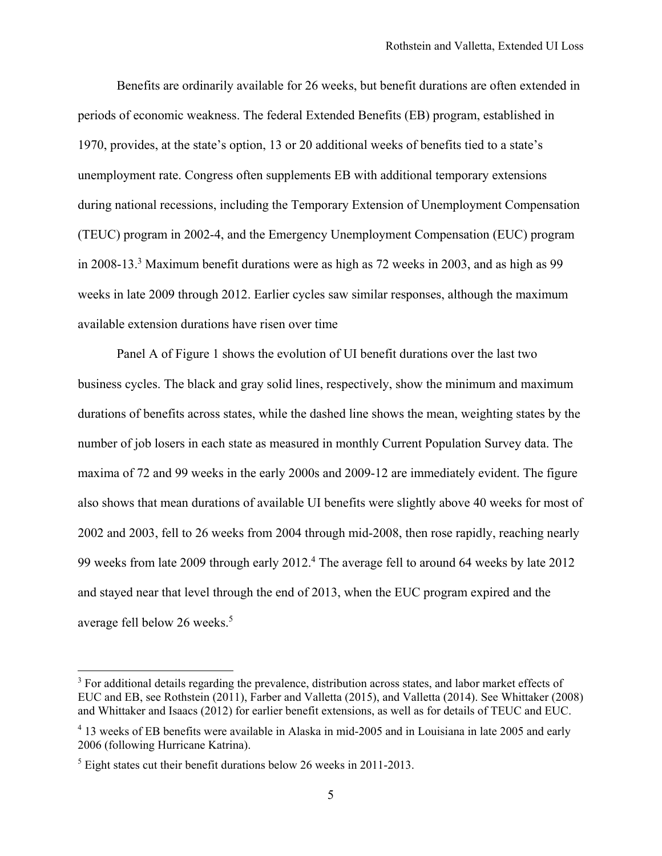Benefits are ordinarily available for 26 weeks, but benefit durations are often extended in periods of economic weakness. The federal Extended Benefits (EB) program, established in 1970, provides, at the state's option, 13 or 20 additional weeks of benefits tied to a state's unemployment rate. Congress often supplements EB with additional temporary extensions during national recessions, including the Temporary Extension of Unemployment Compensation (TEUC) program in 2002-4, and the Emergency Unemployment Compensation (EUC) program in 2008-13.<sup>3</sup> Maximum benefit durations were as high as 72 weeks in 2003, and as high as 99 weeks in late 2009 through 2012. Earlier cycles saw similar responses, although the maximum available extension durations have risen over time

Panel A of Figure 1 shows the evolution of UI benefit durations over the last two business cycles. The black and gray solid lines, respectively, show the minimum and maximum durations of benefits across states, while the dashed line shows the mean, weighting states by the number of job losers in each state as measured in monthly Current Population Survey data. The maxima of 72 and 99 weeks in the early 2000s and 2009-12 are immediately evident. The figure also shows that mean durations of available UI benefits were slightly above 40 weeks for most of 2002 and 2003, fell to 26 weeks from 2004 through mid-2008, then rose rapidly, reaching nearly 99 weeks from late 2009 through early 2012.<sup>4</sup> The average fell to around 64 weeks by late 2012 and stayed near that level through the end of 2013, when the EUC program expired and the average fell below 26 weeks.<sup>5</sup>

<sup>&</sup>lt;sup>3</sup> For additional details regarding the prevalence, distribution across states, and labor market effects of EUC and EB, see Rothstein (2011), Farber and Valletta (2015), and Valletta (2014). See Whittaker (2008) and Whittaker and Isaacs (2012) for earlier benefit extensions, as well as for details of TEUC and EUC.

<sup>&</sup>lt;sup>4</sup> 13 weeks of EB benefits were available in Alaska in mid-2005 and in Louisiana in late 2005 and early 2006 (following Hurricane Katrina).

 $<sup>5</sup>$  Eight states cut their benefit durations below 26 weeks in 2011-2013.</sup>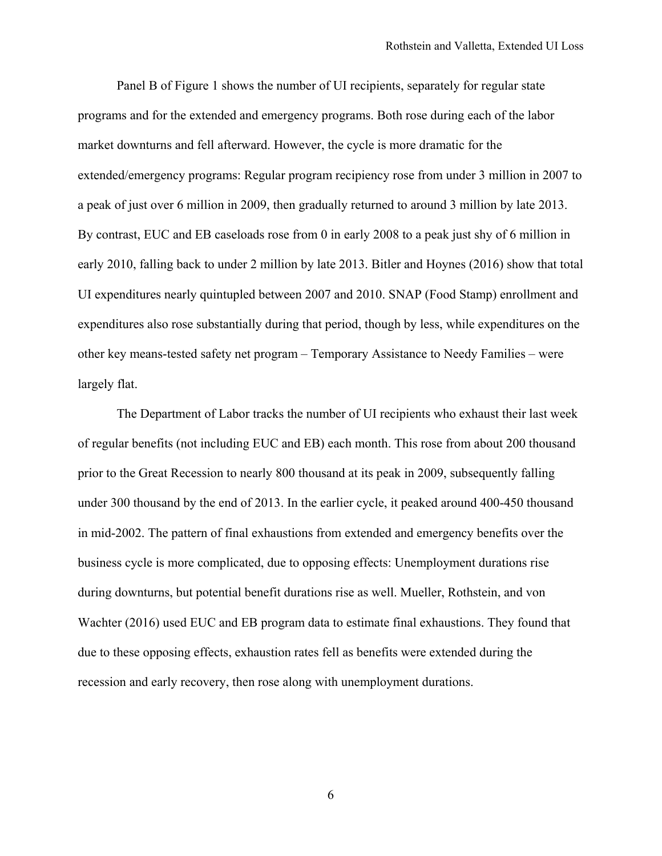Panel B of Figure 1 shows the number of UI recipients, separately for regular state programs and for the extended and emergency programs. Both rose during each of the labor market downturns and fell afterward. However, the cycle is more dramatic for the extended/emergency programs: Regular program recipiency rose from under 3 million in 2007 to a peak of just over 6 million in 2009, then gradually returned to around 3 million by late 2013. By contrast, EUC and EB caseloads rose from 0 in early 2008 to a peak just shy of 6 million in early 2010, falling back to under 2 million by late 2013. Bitler and Hoynes (2016) show that total UI expenditures nearly quintupled between 2007 and 2010. SNAP (Food Stamp) enrollment and expenditures also rose substantially during that period, though by less, while expenditures on the other key means-tested safety net program – Temporary Assistance to Needy Families – were largely flat.

The Department of Labor tracks the number of UI recipients who exhaust their last week of regular benefits (not including EUC and EB) each month. This rose from about 200 thousand prior to the Great Recession to nearly 800 thousand at its peak in 2009, subsequently falling under 300 thousand by the end of 2013. In the earlier cycle, it peaked around 400-450 thousand in mid-2002. The pattern of final exhaustions from extended and emergency benefits over the business cycle is more complicated, due to opposing effects: Unemployment durations rise during downturns, but potential benefit durations rise as well. Mueller, Rothstein, and von Wachter (2016) used EUC and EB program data to estimate final exhaustions. They found that due to these opposing effects, exhaustion rates fell as benefits were extended during the recession and early recovery, then rose along with unemployment durations.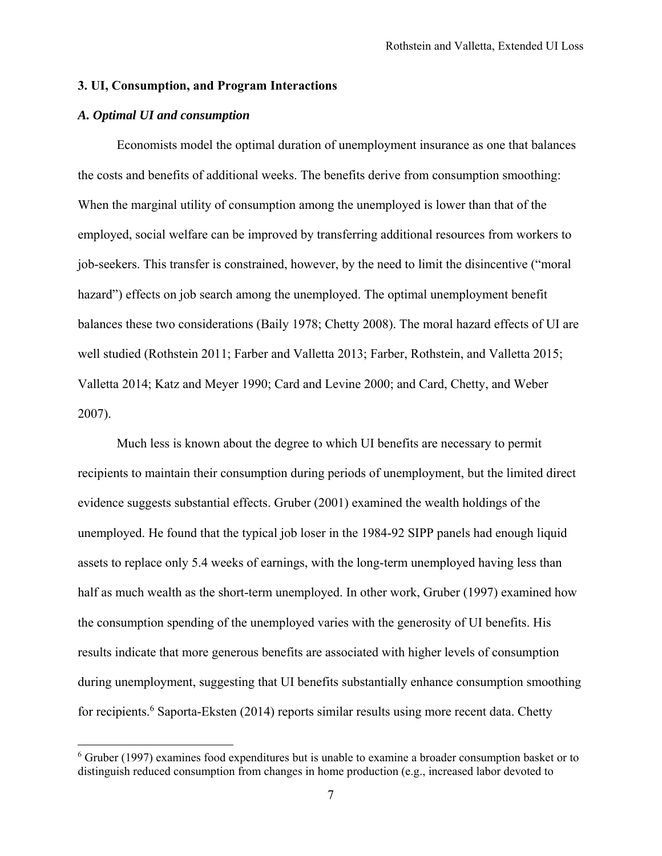## **3. UI, Consumption, and Program Interactions**

# *A. Optimal UI and consumption*

1

Economists model the optimal duration of unemployment insurance as one that balances the costs and benefits of additional weeks. The benefits derive from consumption smoothing: When the marginal utility of consumption among the unemployed is lower than that of the employed, social welfare can be improved by transferring additional resources from workers to job-seekers. This transfer is constrained, however, by the need to limit the disincentive ("moral hazard") effects on job search among the unemployed. The optimal unemployment benefit balances these two considerations (Baily 1978; Chetty 2008). The moral hazard effects of UI are well studied (Rothstein 2011; Farber and Valletta 2013; Farber, Rothstein, and Valletta 2015; Valletta 2014; Katz and Meyer 1990; Card and Levine 2000; and Card, Chetty, and Weber 2007).

Much less is known about the degree to which UI benefits are necessary to permit recipients to maintain their consumption during periods of unemployment, but the limited direct evidence suggests substantial effects. Gruber (2001) examined the wealth holdings of the unemployed. He found that the typical job loser in the 1984-92 SIPP panels had enough liquid assets to replace only 5.4 weeks of earnings, with the long-term unemployed having less than half as much wealth as the short-term unemployed. In other work, Gruber (1997) examined how the consumption spending of the unemployed varies with the generosity of UI benefits. His results indicate that more generous benefits are associated with higher levels of consumption during unemployment, suggesting that UI benefits substantially enhance consumption smoothing for recipients.<sup>6</sup> Saporta-Eksten (2014) reports similar results using more recent data. Chetty

<sup>&</sup>lt;sup>6</sup> Gruber (1997) examines food expenditures but is unable to examine a broader consumption basket or to distinguish reduced consumption from changes in home production (e.g., increased labor devoted to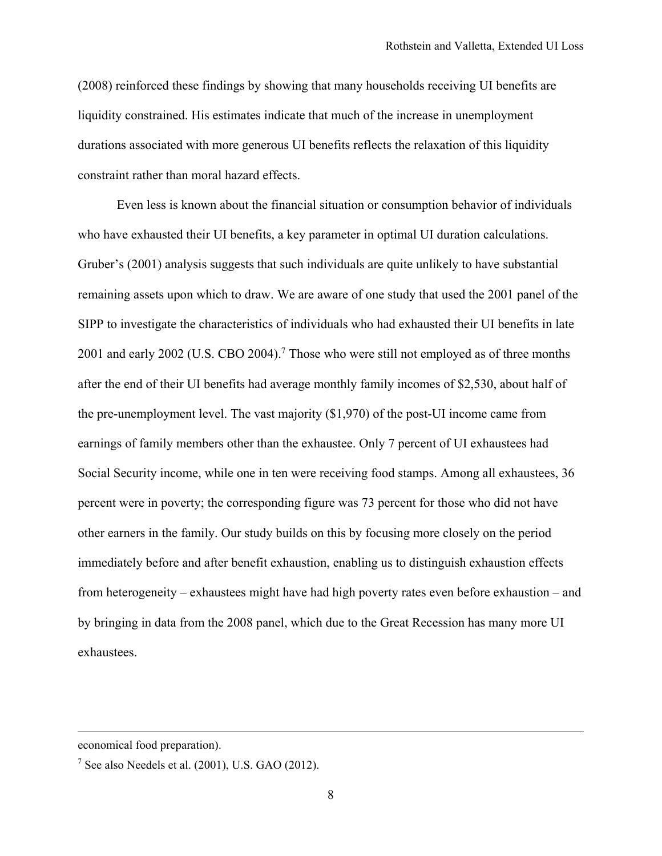(2008) reinforced these findings by showing that many households receiving UI benefits are liquidity constrained. His estimates indicate that much of the increase in unemployment durations associated with more generous UI benefits reflects the relaxation of this liquidity constraint rather than moral hazard effects.

 Even less is known about the financial situation or consumption behavior of individuals who have exhausted their UI benefits, a key parameter in optimal UI duration calculations. Gruber's (2001) analysis suggests that such individuals are quite unlikely to have substantial remaining assets upon which to draw. We are aware of one study that used the 2001 panel of the SIPP to investigate the characteristics of individuals who had exhausted their UI benefits in late 2001 and early 2002 (U.S. CBO 2004).<sup>7</sup> Those who were still not employed as of three months after the end of their UI benefits had average monthly family incomes of \$2,530, about half of the pre-unemployment level. The vast majority (\$1,970) of the post-UI income came from earnings of family members other than the exhaustee. Only 7 percent of UI exhaustees had Social Security income, while one in ten were receiving food stamps. Among all exhaustees, 36 percent were in poverty; the corresponding figure was 73 percent for those who did not have other earners in the family. Our study builds on this by focusing more closely on the period immediately before and after benefit exhaustion, enabling us to distinguish exhaustion effects from heterogeneity – exhaustees might have had high poverty rates even before exhaustion – and by bringing in data from the 2008 panel, which due to the Great Recession has many more UI exhaustees.

economical food preparation).

 $<sup>7</sup>$  See also Needels et al. (2001), U.S. GAO (2012).</sup>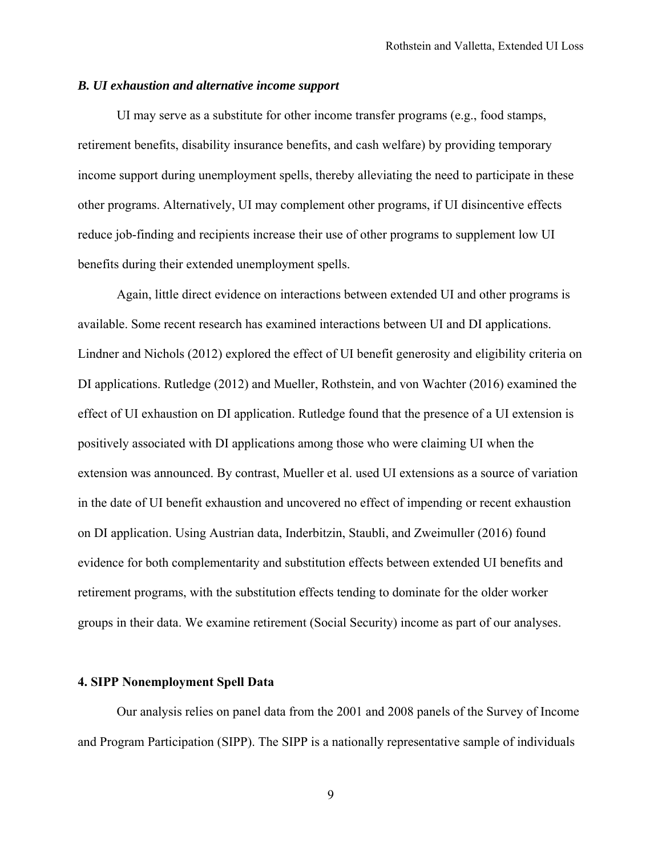## *B. UI exhaustion and alternative income support*

 UI may serve as a substitute for other income transfer programs (e.g., food stamps, retirement benefits, disability insurance benefits, and cash welfare) by providing temporary income support during unemployment spells, thereby alleviating the need to participate in these other programs. Alternatively, UI may complement other programs, if UI disincentive effects reduce job-finding and recipients increase their use of other programs to supplement low UI benefits during their extended unemployment spells.

Again, little direct evidence on interactions between extended UI and other programs is available. Some recent research has examined interactions between UI and DI applications. Lindner and Nichols (2012) explored the effect of UI benefit generosity and eligibility criteria on DI applications. Rutledge (2012) and Mueller, Rothstein, and von Wachter (2016) examined the effect of UI exhaustion on DI application. Rutledge found that the presence of a UI extension is positively associated with DI applications among those who were claiming UI when the extension was announced. By contrast, Mueller et al. used UI extensions as a source of variation in the date of UI benefit exhaustion and uncovered no effect of impending or recent exhaustion on DI application. Using Austrian data, Inderbitzin, Staubli, and Zweimuller (2016) found evidence for both complementarity and substitution effects between extended UI benefits and retirement programs, with the substitution effects tending to dominate for the older worker groups in their data. We examine retirement (Social Security) income as part of our analyses.

# **4. SIPP Nonemployment Spell Data**

Our analysis relies on panel data from the 2001 and 2008 panels of the Survey of Income and Program Participation (SIPP). The SIPP is a nationally representative sample of individuals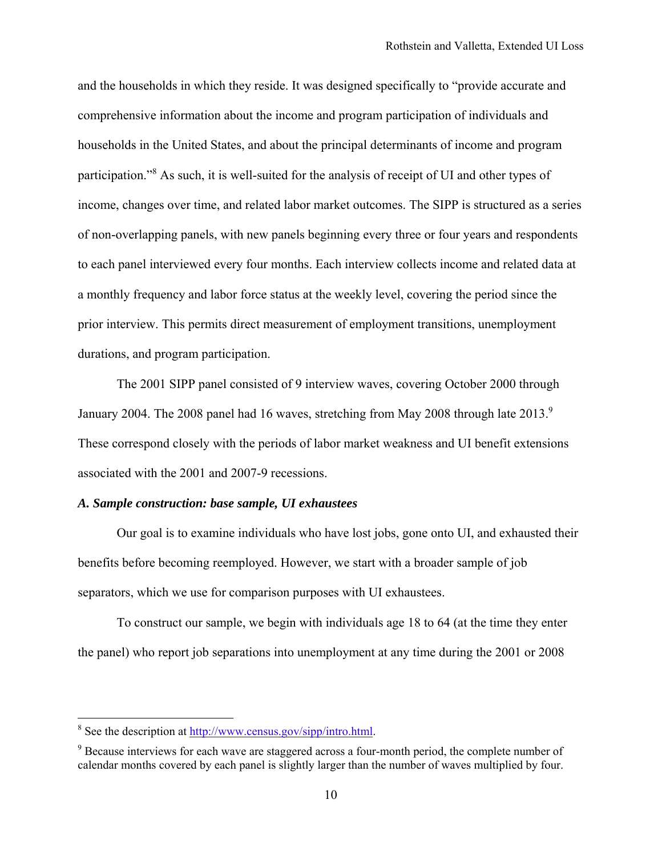and the households in which they reside. It was designed specifically to "provide accurate and comprehensive information about the income and program participation of individuals and households in the United States, and about the principal determinants of income and program participation."<sup>8</sup> As such, it is well-suited for the analysis of receipt of UI and other types of income, changes over time, and related labor market outcomes. The SIPP is structured as a series of non-overlapping panels, with new panels beginning every three or four years and respondents to each panel interviewed every four months. Each interview collects income and related data at a monthly frequency and labor force status at the weekly level, covering the period since the prior interview. This permits direct measurement of employment transitions, unemployment durations, and program participation.

The 2001 SIPP panel consisted of 9 interview waves, covering October 2000 through January 2004. The 2008 panel had 16 waves, stretching from May 2008 through late 2013.<sup>9</sup> These correspond closely with the periods of labor market weakness and UI benefit extensions associated with the 2001 and 2007-9 recessions.

## *A. Sample construction: base sample, UI exhaustees*

Our goal is to examine individuals who have lost jobs, gone onto UI, and exhausted their benefits before becoming reemployed. However, we start with a broader sample of job separators, which we use for comparison purposes with UI exhaustees.

To construct our sample, we begin with individuals age 18 to 64 (at the time they enter the panel) who report job separations into unemployment at any time during the 2001 or 2008

<sup>&</sup>lt;sup>8</sup> See the description at http://www.census.gov/sipp/intro.html.

<sup>&</sup>lt;sup>9</sup> Because interviews for each wave are staggered across a four-month period, the complete number of calendar months covered by each panel is slightly larger than the number of waves multiplied by four.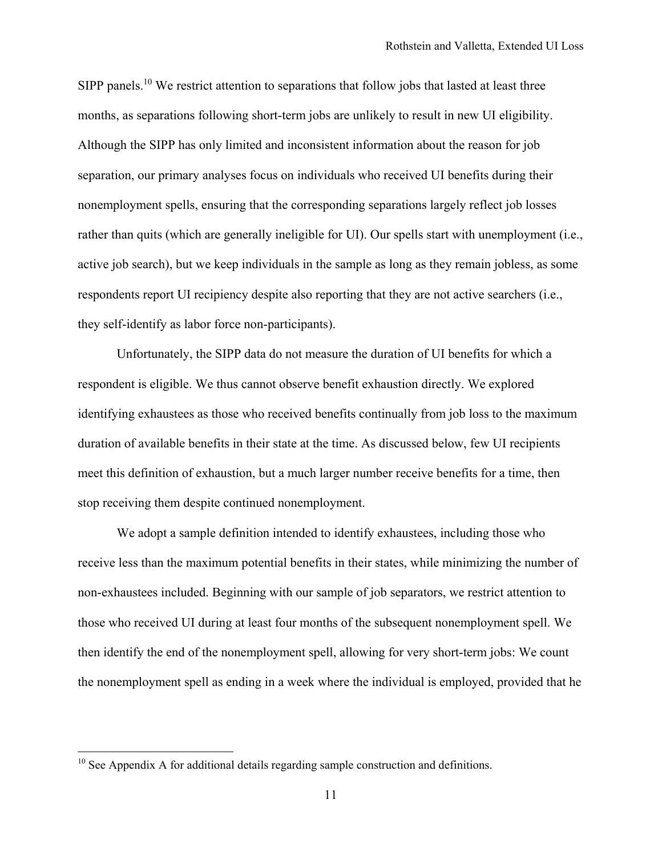SIPP panels.<sup>10</sup> We restrict attention to separations that follow jobs that lasted at least three months, as separations following short-term jobs are unlikely to result in new UI eligibility. Although the SIPP has only limited and inconsistent information about the reason for job separation, our primary analyses focus on individuals who received UI benefits during their nonemployment spells, ensuring that the corresponding separations largely reflect job losses rather than quits (which are generally ineligible for UI). Our spells start with unemployment (i.e., active job search), but we keep individuals in the sample as long as they remain jobless, as some respondents report UI recipiency despite also reporting that they are not active searchers (i.e., they self-identify as labor force non-participants).

Unfortunately, the SIPP data do not measure the duration of UI benefits for which a respondent is eligible. We thus cannot observe benefit exhaustion directly. We explored identifying exhaustees as those who received benefits continually from job loss to the maximum duration of available benefits in their state at the time. As discussed below, few UI recipients meet this definition of exhaustion, but a much larger number receive benefits for a time, then stop receiving them despite continued nonemployment.

We adopt a sample definition intended to identify exhaustees, including those who receive less than the maximum potential benefits in their states, while minimizing the number of non-exhaustees included. Beginning with our sample of job separators, we restrict attention to those who received UI during at least four months of the subsequent nonemployment spell. We then identify the end of the nonemployment spell, allowing for very short-term jobs: We count the nonemployment spell as ending in a week where the individual is employed, provided that he

 $10$  See Appendix A for additional details regarding sample construction and definitions.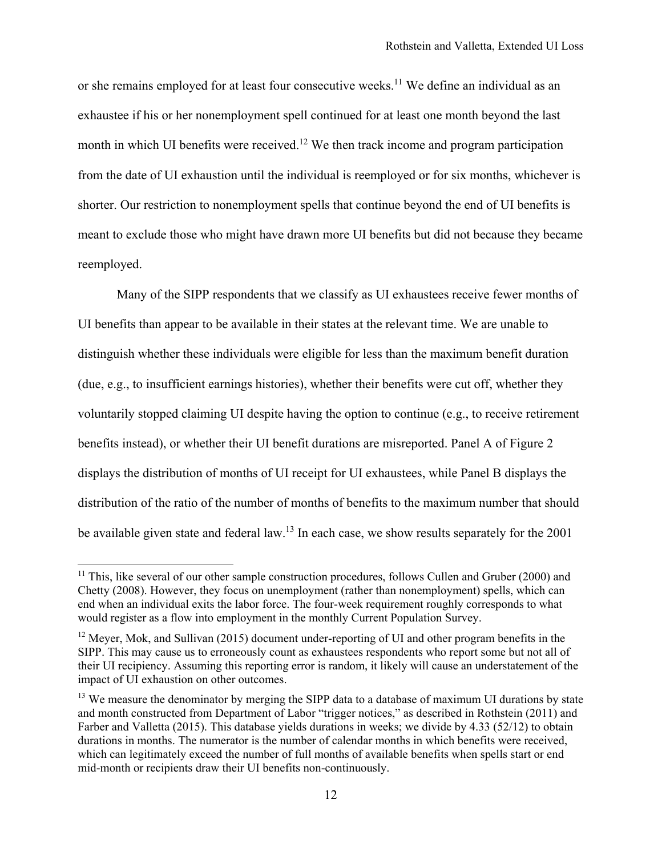or she remains employed for at least four consecutive weeks.<sup>11</sup> We define an individual as an exhaustee if his or her nonemployment spell continued for at least one month beyond the last month in which UI benefits were received.<sup>12</sup> We then track income and program participation from the date of UI exhaustion until the individual is reemployed or for six months, whichever is shorter. Our restriction to nonemployment spells that continue beyond the end of UI benefits is meant to exclude those who might have drawn more UI benefits but did not because they became reemployed.

Many of the SIPP respondents that we classify as UI exhaustees receive fewer months of UI benefits than appear to be available in their states at the relevant time. We are unable to distinguish whether these individuals were eligible for less than the maximum benefit duration (due, e.g., to insufficient earnings histories), whether their benefits were cut off, whether they voluntarily stopped claiming UI despite having the option to continue (e.g., to receive retirement benefits instead), or whether their UI benefit durations are misreported. Panel A of Figure 2 displays the distribution of months of UI receipt for UI exhaustees, while Panel B displays the distribution of the ratio of the number of months of benefits to the maximum number that should be available given state and federal law.<sup>13</sup> In each case, we show results separately for the 2001

<sup>&</sup>lt;sup>11</sup> This, like several of our other sample construction procedures, follows Cullen and Gruber (2000) and Chetty (2008). However, they focus on unemployment (rather than nonemployment) spells, which can end when an individual exits the labor force. The four-week requirement roughly corresponds to what would register as a flow into employment in the monthly Current Population Survey.

<sup>&</sup>lt;sup>12</sup> Meyer, Mok, and Sullivan (2015) document under-reporting of UI and other program benefits in the SIPP. This may cause us to erroneously count as exhaustees respondents who report some but not all of their UI recipiency. Assuming this reporting error is random, it likely will cause an understatement of the impact of UI exhaustion on other outcomes.

 $<sup>13</sup>$  We measure the denominator by merging the SIPP data to a database of maximum UI durations by state</sup> and month constructed from Department of Labor "trigger notices," as described in Rothstein (2011) and Farber and Valletta (2015). This database yields durations in weeks; we divide by 4.33 (52/12) to obtain durations in months. The numerator is the number of calendar months in which benefits were received, which can legitimately exceed the number of full months of available benefits when spells start or end mid-month or recipients draw their UI benefits non-continuously.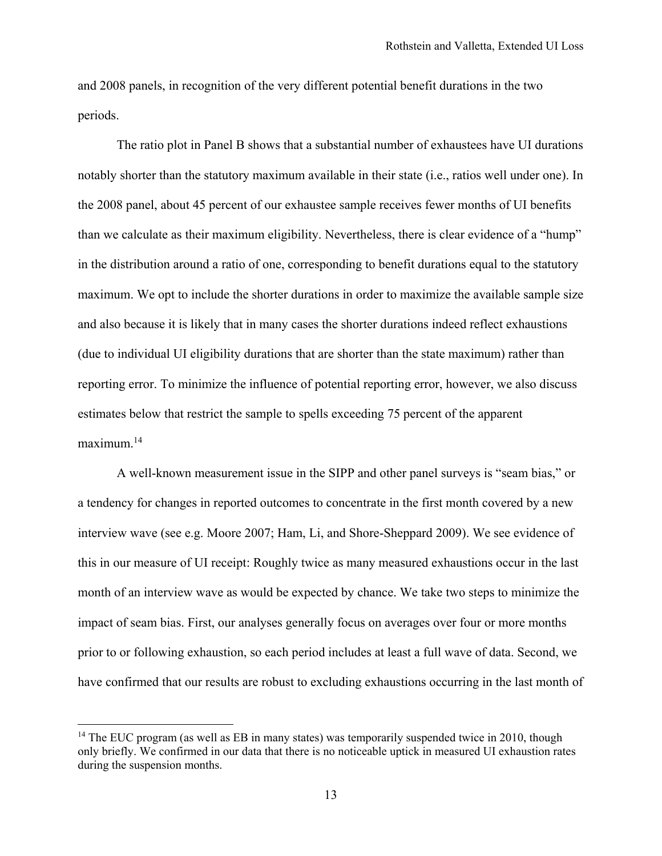and 2008 panels, in recognition of the very different potential benefit durations in the two periods.

The ratio plot in Panel B shows that a substantial number of exhaustees have UI durations notably shorter than the statutory maximum available in their state (i.e., ratios well under one). In the 2008 panel, about 45 percent of our exhaustee sample receives fewer months of UI benefits than we calculate as their maximum eligibility. Nevertheless, there is clear evidence of a "hump" in the distribution around a ratio of one, corresponding to benefit durations equal to the statutory maximum. We opt to include the shorter durations in order to maximize the available sample size and also because it is likely that in many cases the shorter durations indeed reflect exhaustions (due to individual UI eligibility durations that are shorter than the state maximum) rather than reporting error. To minimize the influence of potential reporting error, however, we also discuss estimates below that restrict the sample to spells exceeding 75 percent of the apparent  $maximum<sup>14</sup>$ 

A well-known measurement issue in the SIPP and other panel surveys is "seam bias," or a tendency for changes in reported outcomes to concentrate in the first month covered by a new interview wave (see e.g. Moore 2007; Ham, Li, and Shore-Sheppard 2009). We see evidence of this in our measure of UI receipt: Roughly twice as many measured exhaustions occur in the last month of an interview wave as would be expected by chance. We take two steps to minimize the impact of seam bias. First, our analyses generally focus on averages over four or more months prior to or following exhaustion, so each period includes at least a full wave of data. Second, we have confirmed that our results are robust to excluding exhaustions occurring in the last month of

 $14$  The EUC program (as well as EB in many states) was temporarily suspended twice in 2010, though only briefly. We confirmed in our data that there is no noticeable uptick in measured UI exhaustion rates during the suspension months.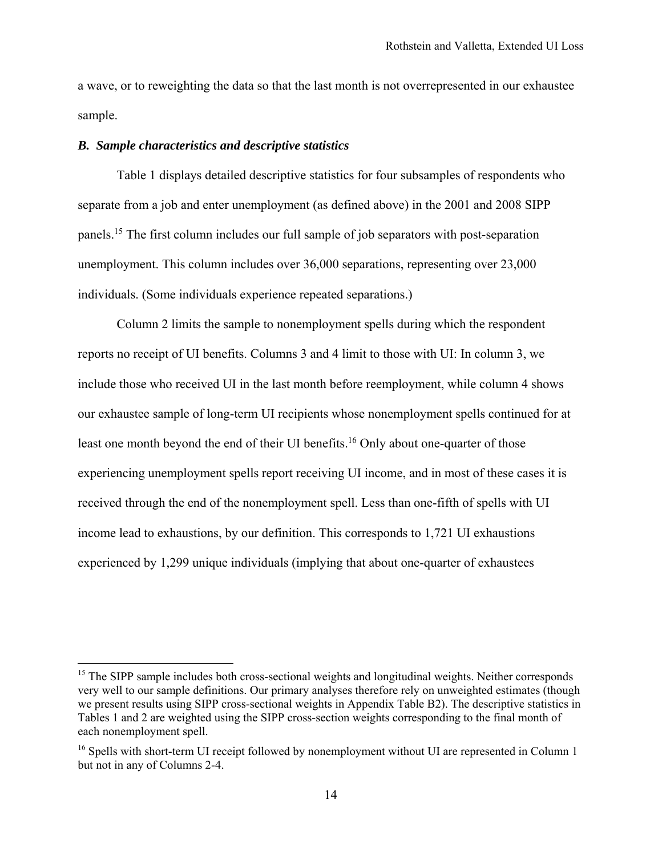a wave, or to reweighting the data so that the last month is not overrepresented in our exhaustee sample.

### *B. Sample characteristics and descriptive statistics*

 $\overline{a}$ 

Table 1 displays detailed descriptive statistics for four subsamples of respondents who separate from a job and enter unemployment (as defined above) in the 2001 and 2008 SIPP panels.15 The first column includes our full sample of job separators with post-separation unemployment. This column includes over 36,000 separations, representing over 23,000 individuals. (Some individuals experience repeated separations.)

Column 2 limits the sample to nonemployment spells during which the respondent reports no receipt of UI benefits. Columns 3 and 4 limit to those with UI: In column 3, we include those who received UI in the last month before reemployment, while column 4 shows our exhaustee sample of long-term UI recipients whose nonemployment spells continued for at least one month beyond the end of their UI benefits.<sup>16</sup> Only about one-quarter of those experiencing unemployment spells report receiving UI income, and in most of these cases it is received through the end of the nonemployment spell. Less than one-fifth of spells with UI income lead to exhaustions, by our definition. This corresponds to 1,721 UI exhaustions experienced by 1,299 unique individuals (implying that about one-quarter of exhaustees

<sup>&</sup>lt;sup>15</sup> The SIPP sample includes both cross-sectional weights and longitudinal weights. Neither corresponds very well to our sample definitions. Our primary analyses therefore rely on unweighted estimates (though we present results using SIPP cross-sectional weights in Appendix Table B2). The descriptive statistics in Tables 1 and 2 are weighted using the SIPP cross-section weights corresponding to the final month of each nonemployment spell.

<sup>&</sup>lt;sup>16</sup> Spells with short-term UI receipt followed by nonemployment without UI are represented in Column 1 but not in any of Columns 2-4.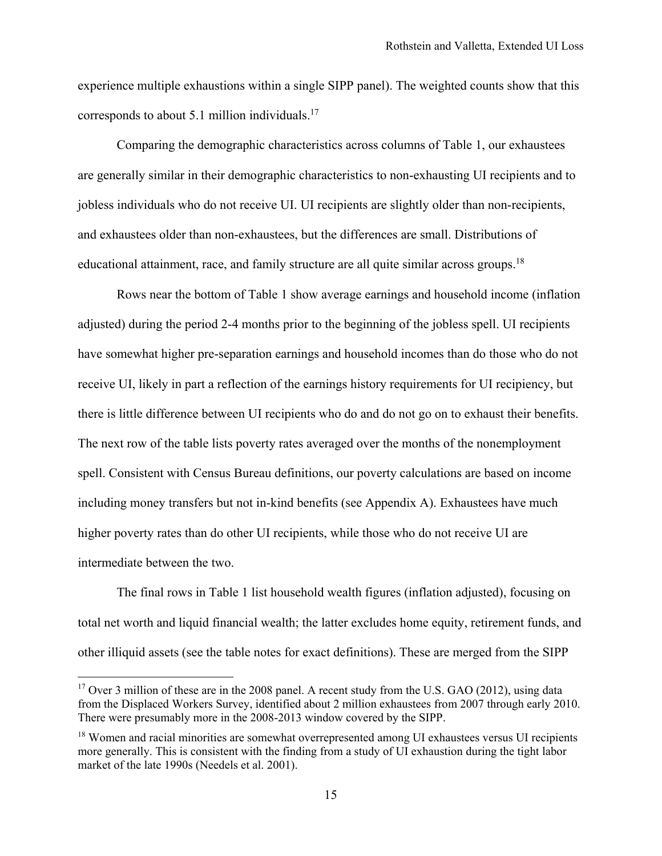experience multiple exhaustions within a single SIPP panel). The weighted counts show that this corresponds to about 5.1 million individuals.17

Comparing the demographic characteristics across columns of Table 1, our exhaustees are generally similar in their demographic characteristics to non-exhausting UI recipients and to jobless individuals who do not receive UI. UI recipients are slightly older than non-recipients, and exhaustees older than non-exhaustees, but the differences are small. Distributions of educational attainment, race, and family structure are all quite similar across groups.<sup>18</sup>

Rows near the bottom of Table 1 show average earnings and household income (inflation adjusted) during the period 2-4 months prior to the beginning of the jobless spell. UI recipients have somewhat higher pre-separation earnings and household incomes than do those who do not receive UI, likely in part a reflection of the earnings history requirements for UI recipiency, but there is little difference between UI recipients who do and do not go on to exhaust their benefits. The next row of the table lists poverty rates averaged over the months of the nonemployment spell. Consistent with Census Bureau definitions, our poverty calculations are based on income including money transfers but not in-kind benefits (see Appendix A). Exhaustees have much higher poverty rates than do other UI recipients, while those who do not receive UI are intermediate between the two.

The final rows in Table 1 list household wealth figures (inflation adjusted), focusing on total net worth and liquid financial wealth; the latter excludes home equity, retirement funds, and other illiquid assets (see the table notes for exact definitions). These are merged from the SIPP

<sup>&</sup>lt;sup>17</sup> Over 3 million of these are in the 2008 panel. A recent study from the U.S. GAO (2012), using data from the Displaced Workers Survey, identified about 2 million exhaustees from 2007 through early 2010. There were presumably more in the 2008-2013 window covered by the SIPP.

<sup>&</sup>lt;sup>18</sup> Women and racial minorities are somewhat overrepresented among UI exhaustees versus UI recipients more generally. This is consistent with the finding from a study of UI exhaustion during the tight labor market of the late 1990s (Needels et al. 2001).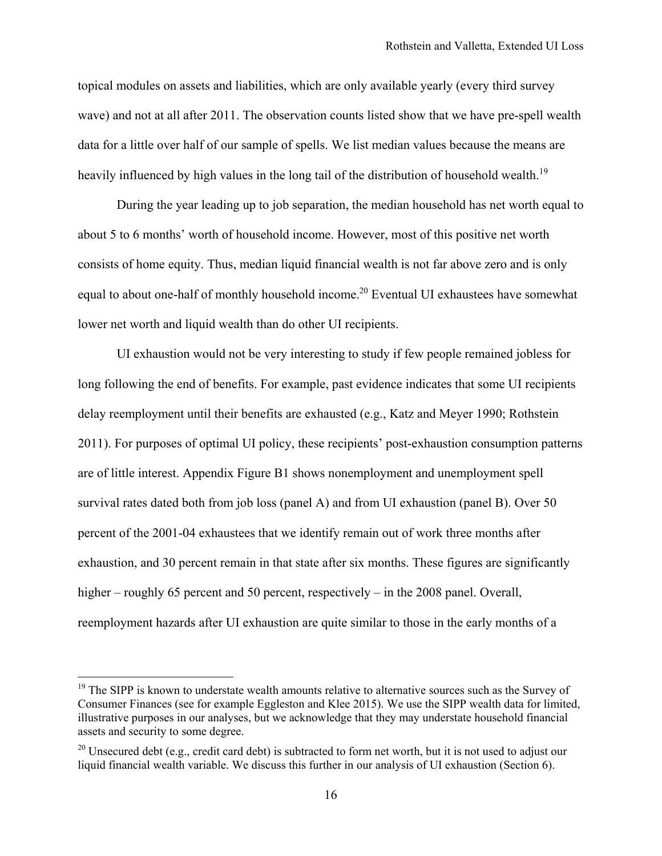topical modules on assets and liabilities, which are only available yearly (every third survey wave) and not at all after 2011. The observation counts listed show that we have pre-spell wealth data for a little over half of our sample of spells. We list median values because the means are heavily influenced by high values in the long tail of the distribution of household wealth.<sup>19</sup>

During the year leading up to job separation, the median household has net worth equal to about 5 to 6 months' worth of household income. However, most of this positive net worth consists of home equity. Thus, median liquid financial wealth is not far above zero and is only equal to about one-half of monthly household income.<sup>20</sup> Eventual UI exhaustees have somewhat lower net worth and liquid wealth than do other UI recipients.

UI exhaustion would not be very interesting to study if few people remained jobless for long following the end of benefits. For example, past evidence indicates that some UI recipients delay reemployment until their benefits are exhausted (e.g., Katz and Meyer 1990; Rothstein 2011). For purposes of optimal UI policy, these recipients' post-exhaustion consumption patterns are of little interest. Appendix Figure B1 shows nonemployment and unemployment spell survival rates dated both from job loss (panel A) and from UI exhaustion (panel B). Over 50 percent of the 2001-04 exhaustees that we identify remain out of work three months after exhaustion, and 30 percent remain in that state after six months. These figures are significantly higher – roughly 65 percent and 50 percent, respectively – in the 2008 panel. Overall, reemployment hazards after UI exhaustion are quite similar to those in the early months of a

<sup>&</sup>lt;sup>19</sup> The SIPP is known to understate wealth amounts relative to alternative sources such as the Survey of Consumer Finances (see for example Eggleston and Klee 2015). We use the SIPP wealth data for limited, illustrative purposes in our analyses, but we acknowledge that they may understate household financial assets and security to some degree.

<sup>&</sup>lt;sup>20</sup> Unsecured debt (e.g., credit card debt) is subtracted to form net worth, but it is not used to adjust our liquid financial wealth variable. We discuss this further in our analysis of UI exhaustion (Section 6).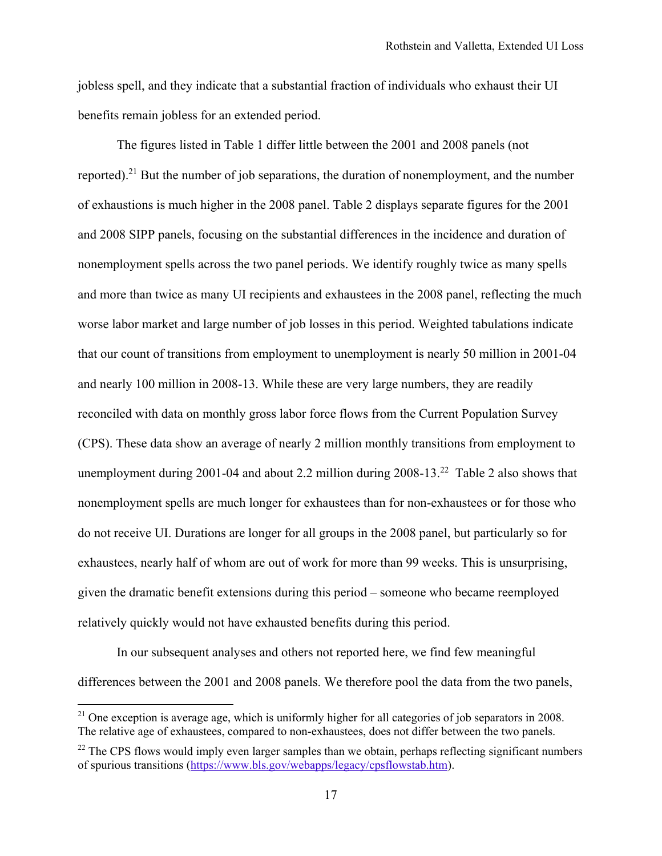jobless spell, and they indicate that a substantial fraction of individuals who exhaust their UI benefits remain jobless for an extended period.

The figures listed in Table 1 differ little between the 2001 and 2008 panels (not reported).21 But the number of job separations, the duration of nonemployment, and the number of exhaustions is much higher in the 2008 panel. Table 2 displays separate figures for the 2001 and 2008 SIPP panels, focusing on the substantial differences in the incidence and duration of nonemployment spells across the two panel periods. We identify roughly twice as many spells and more than twice as many UI recipients and exhaustees in the 2008 panel, reflecting the much worse labor market and large number of job losses in this period. Weighted tabulations indicate that our count of transitions from employment to unemployment is nearly 50 million in 2001-04 and nearly 100 million in 2008-13. While these are very large numbers, they are readily reconciled with data on monthly gross labor force flows from the Current Population Survey (CPS). These data show an average of nearly 2 million monthly transitions from employment to unemployment during 2001-04 and about 2.2 million during  $2008-13<sup>22</sup>$  Table 2 also shows that nonemployment spells are much longer for exhaustees than for non-exhaustees or for those who do not receive UI. Durations are longer for all groups in the 2008 panel, but particularly so for exhaustees, nearly half of whom are out of work for more than 99 weeks. This is unsurprising, given the dramatic benefit extensions during this period – someone who became reemployed relatively quickly would not have exhausted benefits during this period.

In our subsequent analyses and others not reported here, we find few meaningful differences between the 2001 and 2008 panels. We therefore pool the data from the two panels,

 $21$  One exception is average age, which is uniformly higher for all categories of job separators in 2008. The relative age of exhaustees, compared to non-exhaustees, does not differ between the two panels.

 $^{22}$  The CPS flows would imply even larger samples than we obtain, perhaps reflecting significant numbers of spurious transitions (https://www.bls.gov/webapps/legacy/cpsflowstab.htm).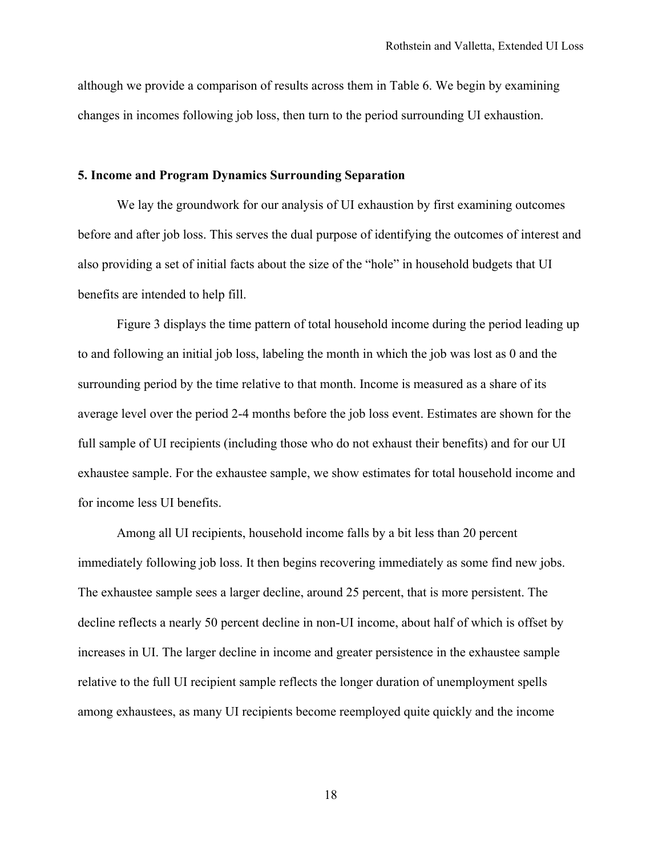although we provide a comparison of results across them in Table 6. We begin by examining changes in incomes following job loss, then turn to the period surrounding UI exhaustion.

## **5. Income and Program Dynamics Surrounding Separation**

 We lay the groundwork for our analysis of UI exhaustion by first examining outcomes before and after job loss. This serves the dual purpose of identifying the outcomes of interest and also providing a set of initial facts about the size of the "hole" in household budgets that UI benefits are intended to help fill.

Figure 3 displays the time pattern of total household income during the period leading up to and following an initial job loss, labeling the month in which the job was lost as 0 and the surrounding period by the time relative to that month. Income is measured as a share of its average level over the period 2-4 months before the job loss event. Estimates are shown for the full sample of UI recipients (including those who do not exhaust their benefits) and for our UI exhaustee sample. For the exhaustee sample, we show estimates for total household income and for income less UI benefits.

Among all UI recipients, household income falls by a bit less than 20 percent immediately following job loss. It then begins recovering immediately as some find new jobs. The exhaustee sample sees a larger decline, around 25 percent, that is more persistent. The decline reflects a nearly 50 percent decline in non-UI income, about half of which is offset by increases in UI. The larger decline in income and greater persistence in the exhaustee sample relative to the full UI recipient sample reflects the longer duration of unemployment spells among exhaustees, as many UI recipients become reemployed quite quickly and the income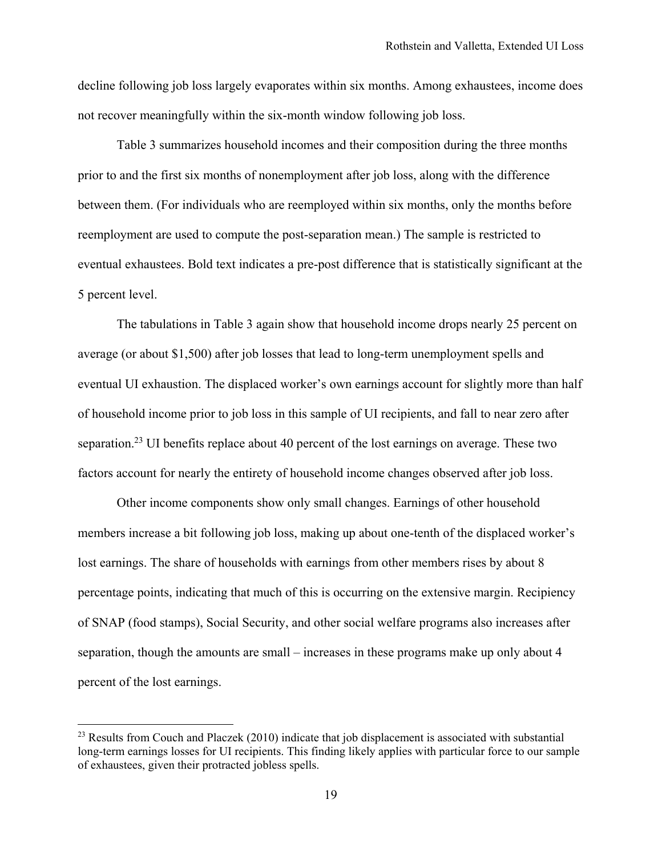decline following job loss largely evaporates within six months. Among exhaustees, income does not recover meaningfully within the six-month window following job loss.

Table 3 summarizes household incomes and their composition during the three months prior to and the first six months of nonemployment after job loss, along with the difference between them. (For individuals who are reemployed within six months, only the months before reemployment are used to compute the post-separation mean.) The sample is restricted to eventual exhaustees. Bold text indicates a pre-post difference that is statistically significant at the 5 percent level.

The tabulations in Table 3 again show that household income drops nearly 25 percent on average (or about \$1,500) after job losses that lead to long-term unemployment spells and eventual UI exhaustion. The displaced worker's own earnings account for slightly more than half of household income prior to job loss in this sample of UI recipients, and fall to near zero after separation.<sup>23</sup> UI benefits replace about 40 percent of the lost earnings on average. These two factors account for nearly the entirety of household income changes observed after job loss.

Other income components show only small changes. Earnings of other household members increase a bit following job loss, making up about one-tenth of the displaced worker's lost earnings. The share of households with earnings from other members rises by about 8 percentage points, indicating that much of this is occurring on the extensive margin. Recipiency of SNAP (food stamps), Social Security, and other social welfare programs also increases after separation, though the amounts are small – increases in these programs make up only about 4 percent of the lost earnings.

 $23$  Results from Couch and Placzek (2010) indicate that job displacement is associated with substantial long-term earnings losses for UI recipients. This finding likely applies with particular force to our sample of exhaustees, given their protracted jobless spells.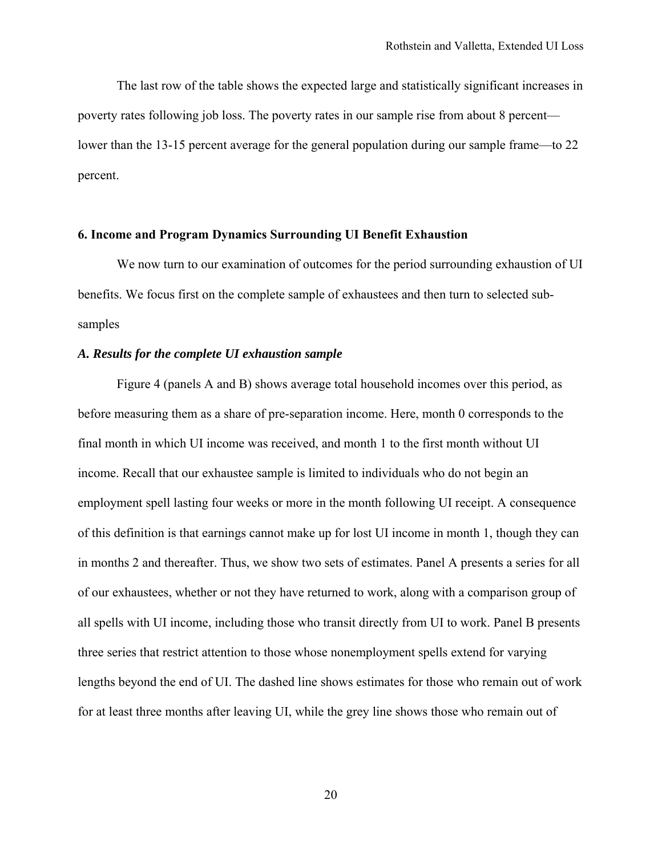The last row of the table shows the expected large and statistically significant increases in poverty rates following job loss. The poverty rates in our sample rise from about 8 percent lower than the 13-15 percent average for the general population during our sample frame—to 22 percent.

### **6. Income and Program Dynamics Surrounding UI Benefit Exhaustion**

We now turn to our examination of outcomes for the period surrounding exhaustion of UI benefits. We focus first on the complete sample of exhaustees and then turn to selected subsamples

## *A. Results for the complete UI exhaustion sample*

Figure 4 (panels A and B) shows average total household incomes over this period, as before measuring them as a share of pre-separation income. Here, month 0 corresponds to the final month in which UI income was received, and month 1 to the first month without UI income. Recall that our exhaustee sample is limited to individuals who do not begin an employment spell lasting four weeks or more in the month following UI receipt. A consequence of this definition is that earnings cannot make up for lost UI income in month 1, though they can in months 2 and thereafter. Thus, we show two sets of estimates. Panel A presents a series for all of our exhaustees, whether or not they have returned to work, along with a comparison group of all spells with UI income, including those who transit directly from UI to work. Panel B presents three series that restrict attention to those whose nonemployment spells extend for varying lengths beyond the end of UI. The dashed line shows estimates for those who remain out of work for at least three months after leaving UI, while the grey line shows those who remain out of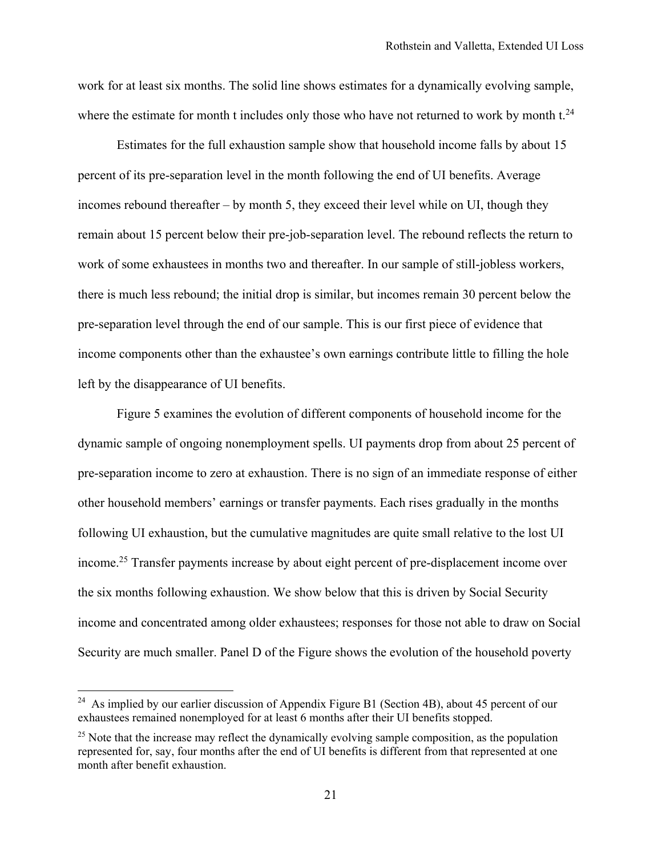work for at least six months. The solid line shows estimates for a dynamically evolving sample, where the estimate for month t includes only those who have not returned to work by month  $t^{24}$ .

Estimates for the full exhaustion sample show that household income falls by about 15 percent of its pre-separation level in the month following the end of UI benefits. Average incomes rebound thereafter – by month 5, they exceed their level while on UI, though they remain about 15 percent below their pre-job-separation level. The rebound reflects the return to work of some exhaustees in months two and thereafter. In our sample of still-jobless workers, there is much less rebound; the initial drop is similar, but incomes remain 30 percent below the pre-separation level through the end of our sample. This is our first piece of evidence that income components other than the exhaustee's own earnings contribute little to filling the hole left by the disappearance of UI benefits.

Figure 5 examines the evolution of different components of household income for the dynamic sample of ongoing nonemployment spells. UI payments drop from about 25 percent of pre-separation income to zero at exhaustion. There is no sign of an immediate response of either other household members' earnings or transfer payments. Each rises gradually in the months following UI exhaustion, but the cumulative magnitudes are quite small relative to the lost UI income.25 Transfer payments increase by about eight percent of pre-displacement income over the six months following exhaustion. We show below that this is driven by Social Security income and concentrated among older exhaustees; responses for those not able to draw on Social Security are much smaller. Panel D of the Figure shows the evolution of the household poverty

<sup>&</sup>lt;sup>24</sup> As implied by our earlier discussion of Appendix Figure B1 (Section 4B), about 45 percent of our exhaustees remained nonemployed for at least 6 months after their UI benefits stopped.

<sup>&</sup>lt;sup>25</sup> Note that the increase may reflect the dynamically evolving sample composition, as the population represented for, say, four months after the end of UI benefits is different from that represented at one month after benefit exhaustion.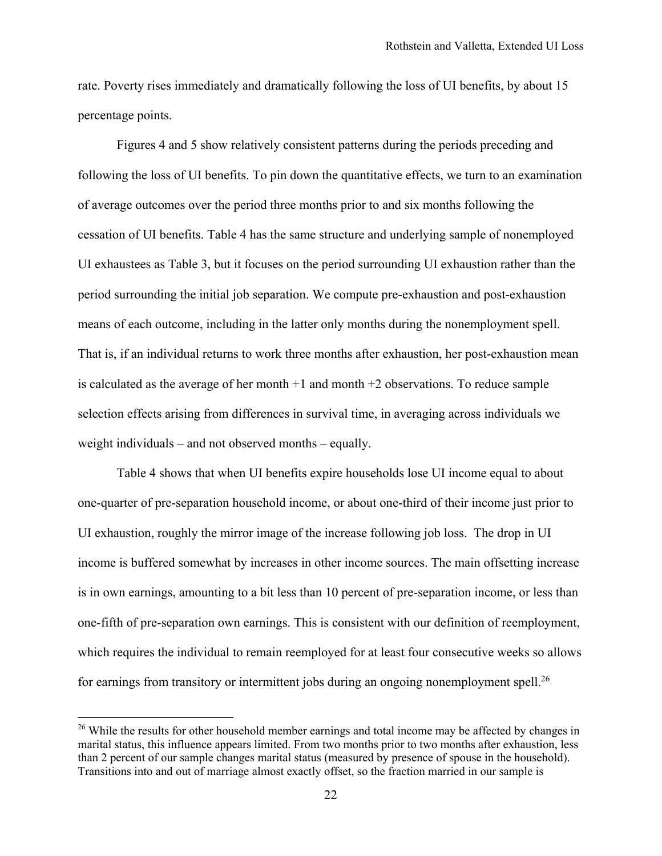rate. Poverty rises immediately and dramatically following the loss of UI benefits, by about 15 percentage points.

Figures 4 and 5 show relatively consistent patterns during the periods preceding and following the loss of UI benefits. To pin down the quantitative effects, we turn to an examination of average outcomes over the period three months prior to and six months following the cessation of UI benefits. Table 4 has the same structure and underlying sample of nonemployed UI exhaustees as Table 3, but it focuses on the period surrounding UI exhaustion rather than the period surrounding the initial job separation. We compute pre-exhaustion and post-exhaustion means of each outcome, including in the latter only months during the nonemployment spell. That is, if an individual returns to work three months after exhaustion, her post-exhaustion mean is calculated as the average of her month  $+1$  and month  $+2$  observations. To reduce sample selection effects arising from differences in survival time, in averaging across individuals we weight individuals – and not observed months – equally.

Table 4 shows that when UI benefits expire households lose UI income equal to about one-quarter of pre-separation household income, or about one-third of their income just prior to UI exhaustion, roughly the mirror image of the increase following job loss. The drop in UI income is buffered somewhat by increases in other income sources. The main offsetting increase is in own earnings, amounting to a bit less than 10 percent of pre-separation income, or less than one-fifth of pre-separation own earnings. This is consistent with our definition of reemployment, which requires the individual to remain reemployed for at least four consecutive weeks so allows for earnings from transitory or intermittent jobs during an ongoing nonemployment spell.<sup>26</sup>

<u>.</u>

<sup>&</sup>lt;sup>26</sup> While the results for other household member earnings and total income may be affected by changes in marital status, this influence appears limited. From two months prior to two months after exhaustion, less than 2 percent of our sample changes marital status (measured by presence of spouse in the household). Transitions into and out of marriage almost exactly offset, so the fraction married in our sample is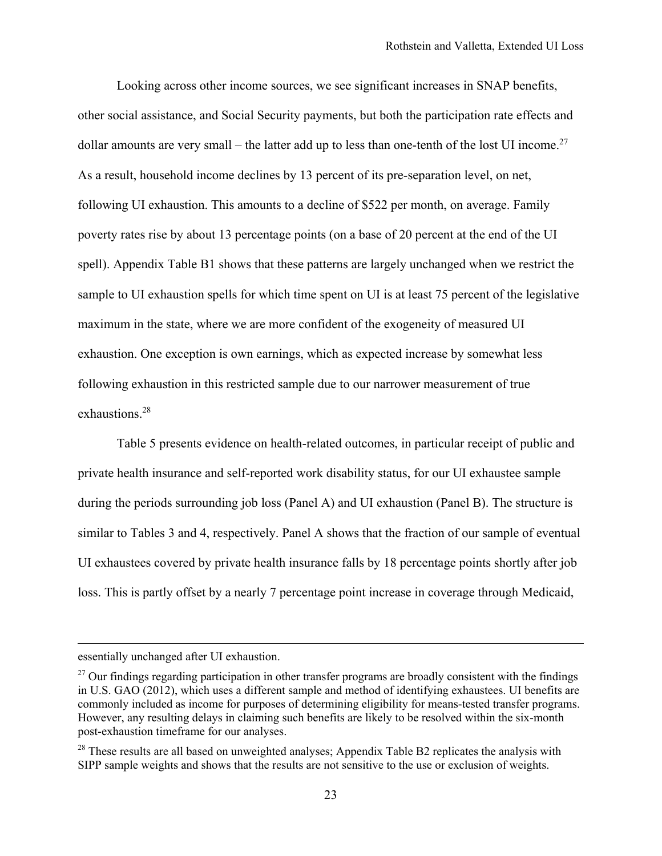Looking across other income sources, we see significant increases in SNAP benefits, other social assistance, and Social Security payments, but both the participation rate effects and dollar amounts are very small – the latter add up to less than one-tenth of the lost UI income.<sup>27</sup> As a result, household income declines by 13 percent of its pre-separation level, on net, following UI exhaustion. This amounts to a decline of \$522 per month, on average. Family poverty rates rise by about 13 percentage points (on a base of 20 percent at the end of the UI spell). Appendix Table B1 shows that these patterns are largely unchanged when we restrict the sample to UI exhaustion spells for which time spent on UI is at least 75 percent of the legislative maximum in the state, where we are more confident of the exogeneity of measured UI exhaustion. One exception is own earnings, which as expected increase by somewhat less following exhaustion in this restricted sample due to our narrower measurement of true exhaustions.28

Table 5 presents evidence on health-related outcomes, in particular receipt of public and private health insurance and self-reported work disability status, for our UI exhaustee sample during the periods surrounding job loss (Panel A) and UI exhaustion (Panel B). The structure is similar to Tables 3 and 4, respectively. Panel A shows that the fraction of our sample of eventual UI exhaustees covered by private health insurance falls by 18 percentage points shortly after job loss. This is partly offset by a nearly 7 percentage point increase in coverage through Medicaid,

essentially unchanged after UI exhaustion.

 $^{27}$  Our findings regarding participation in other transfer programs are broadly consistent with the findings in U.S. GAO (2012), which uses a different sample and method of identifying exhaustees. UI benefits are commonly included as income for purposes of determining eligibility for means-tested transfer programs. However, any resulting delays in claiming such benefits are likely to be resolved within the six-month post-exhaustion timeframe for our analyses.

<sup>&</sup>lt;sup>28</sup> These results are all based on unweighted analyses; Appendix Table B2 replicates the analysis with SIPP sample weights and shows that the results are not sensitive to the use or exclusion of weights.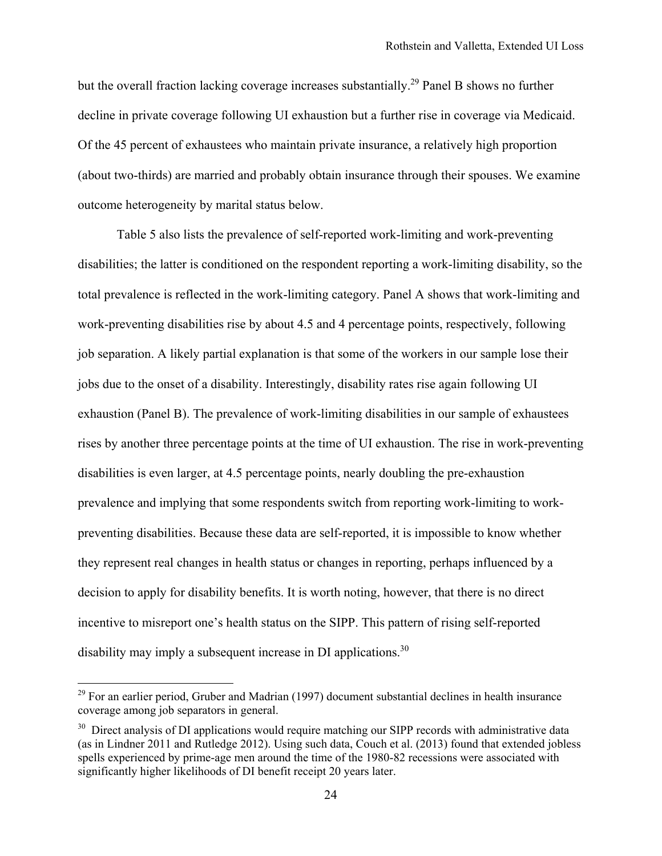but the overall fraction lacking coverage increases substantially.<sup>29</sup> Panel B shows no further decline in private coverage following UI exhaustion but a further rise in coverage via Medicaid. Of the 45 percent of exhaustees who maintain private insurance, a relatively high proportion (about two-thirds) are married and probably obtain insurance through their spouses. We examine outcome heterogeneity by marital status below.

Table 5 also lists the prevalence of self-reported work-limiting and work-preventing disabilities; the latter is conditioned on the respondent reporting a work-limiting disability, so the total prevalence is reflected in the work-limiting category. Panel A shows that work-limiting and work-preventing disabilities rise by about 4.5 and 4 percentage points, respectively, following job separation. A likely partial explanation is that some of the workers in our sample lose their jobs due to the onset of a disability. Interestingly, disability rates rise again following UI exhaustion (Panel B). The prevalence of work-limiting disabilities in our sample of exhaustees rises by another three percentage points at the time of UI exhaustion. The rise in work-preventing disabilities is even larger, at 4.5 percentage points, nearly doubling the pre-exhaustion prevalence and implying that some respondents switch from reporting work-limiting to workpreventing disabilities. Because these data are self-reported, it is impossible to know whether they represent real changes in health status or changes in reporting, perhaps influenced by a decision to apply for disability benefits. It is worth noting, however, that there is no direct incentive to misreport one's health status on the SIPP. This pattern of rising self-reported disability may imply a subsequent increase in DI applications.<sup>30</sup>

 $29$  For an earlier period, Gruber and Madrian (1997) document substantial declines in health insurance coverage among job separators in general.

<sup>&</sup>lt;sup>30</sup> Direct analysis of DI applications would require matching our SIPP records with administrative data (as in Lindner 2011 and Rutledge 2012). Using such data, Couch et al. (2013) found that extended jobless spells experienced by prime-age men around the time of the 1980-82 recessions were associated with significantly higher likelihoods of DI benefit receipt 20 years later.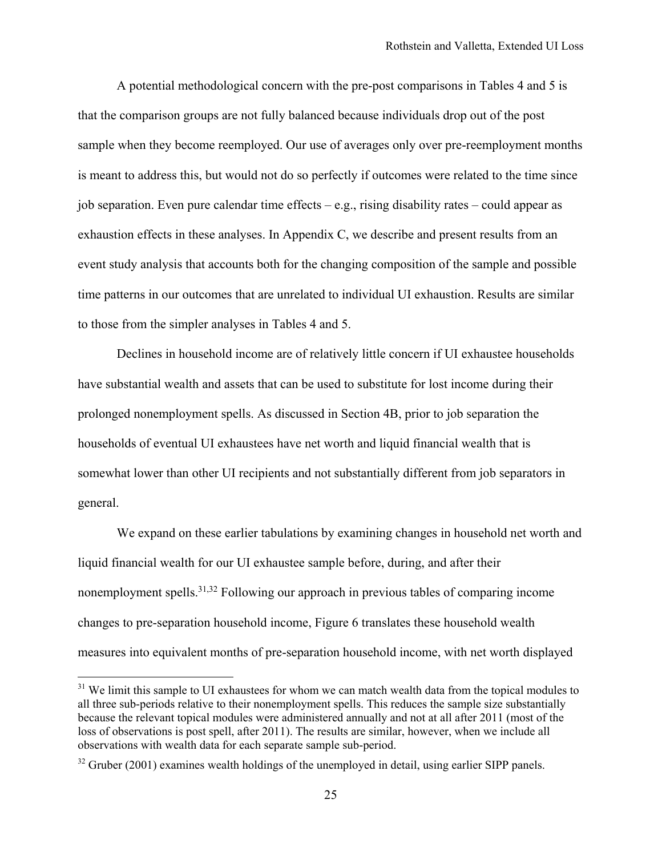A potential methodological concern with the pre-post comparisons in Tables 4 and 5 is that the comparison groups are not fully balanced because individuals drop out of the post sample when they become reemployed. Our use of averages only over pre-reemployment months is meant to address this, but would not do so perfectly if outcomes were related to the time since job separation. Even pure calendar time effects  $-e.g.,$  rising disability rates – could appear as exhaustion effects in these analyses. In Appendix C, we describe and present results from an event study analysis that accounts both for the changing composition of the sample and possible time patterns in our outcomes that are unrelated to individual UI exhaustion. Results are similar to those from the simpler analyses in Tables 4 and 5.

Declines in household income are of relatively little concern if UI exhaustee households have substantial wealth and assets that can be used to substitute for lost income during their prolonged nonemployment spells. As discussed in Section 4B, prior to job separation the households of eventual UI exhaustees have net worth and liquid financial wealth that is somewhat lower than other UI recipients and not substantially different from job separators in general.

We expand on these earlier tabulations by examining changes in household net worth and liquid financial wealth for our UI exhaustee sample before, during, and after their nonemployment spells.<sup>31,32</sup> Following our approach in previous tables of comparing income changes to pre-separation household income, Figure 6 translates these household wealth measures into equivalent months of pre-separation household income, with net worth displayed

<sup>&</sup>lt;sup>31</sup> We limit this sample to UI exhaustees for whom we can match wealth data from the topical modules to all three sub-periods relative to their nonemployment spells. This reduces the sample size substantially because the relevant topical modules were administered annually and not at all after 2011 (most of the loss of observations is post spell, after 2011). The results are similar, however, when we include all observations with wealth data for each separate sample sub-period.

 $32$  Gruber (2001) examines wealth holdings of the unemployed in detail, using earlier SIPP panels.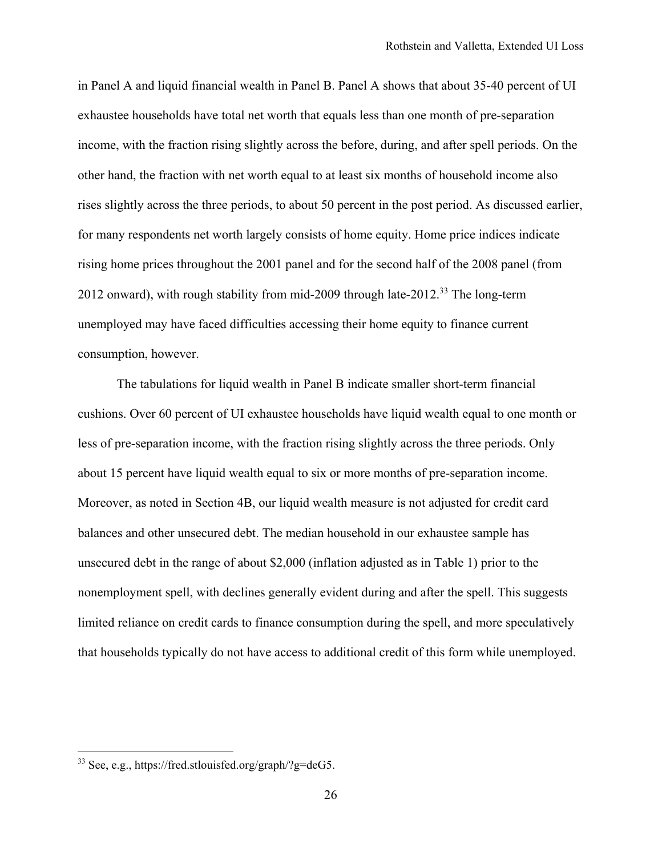in Panel A and liquid financial wealth in Panel B. Panel A shows that about 35-40 percent of UI exhaustee households have total net worth that equals less than one month of pre-separation income, with the fraction rising slightly across the before, during, and after spell periods. On the other hand, the fraction with net worth equal to at least six months of household income also rises slightly across the three periods, to about 50 percent in the post period. As discussed earlier, for many respondents net worth largely consists of home equity. Home price indices indicate rising home prices throughout the 2001 panel and for the second half of the 2008 panel (from 2012 onward), with rough stability from mid-2009 through late-2012.<sup>33</sup> The long-term unemployed may have faced difficulties accessing their home equity to finance current consumption, however.

The tabulations for liquid wealth in Panel B indicate smaller short-term financial cushions. Over 60 percent of UI exhaustee households have liquid wealth equal to one month or less of pre-separation income, with the fraction rising slightly across the three periods. Only about 15 percent have liquid wealth equal to six or more months of pre-separation income. Moreover, as noted in Section 4B, our liquid wealth measure is not adjusted for credit card balances and other unsecured debt. The median household in our exhaustee sample has unsecured debt in the range of about \$2,000 (inflation adjusted as in Table 1) prior to the nonemployment spell, with declines generally evident during and after the spell. This suggests limited reliance on credit cards to finance consumption during the spell, and more speculatively that households typically do not have access to additional credit of this form while unemployed.

<sup>33</sup> See, e.g., https://fred.stlouisfed.org/graph/?g=deG5.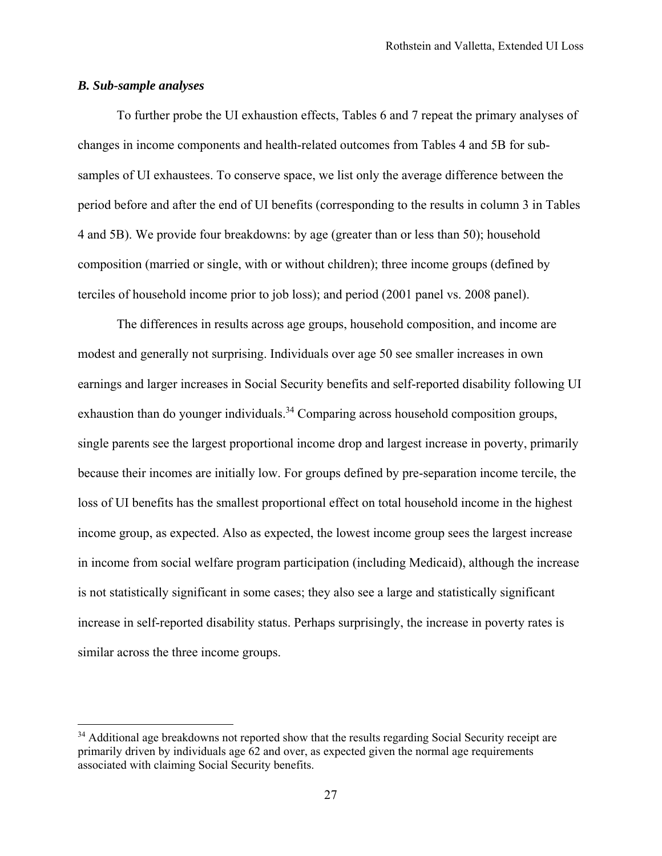# *B. Sub-sample analyses*

 $\overline{a}$ 

To further probe the UI exhaustion effects, Tables 6 and 7 repeat the primary analyses of changes in income components and health-related outcomes from Tables 4 and 5B for subsamples of UI exhaustees. To conserve space, we list only the average difference between the period before and after the end of UI benefits (corresponding to the results in column 3 in Tables 4 and 5B). We provide four breakdowns: by age (greater than or less than 50); household composition (married or single, with or without children); three income groups (defined by terciles of household income prior to job loss); and period (2001 panel vs. 2008 panel).

The differences in results across age groups, household composition, and income are modest and generally not surprising. Individuals over age 50 see smaller increases in own earnings and larger increases in Social Security benefits and self-reported disability following UI exhaustion than do younger individuals.<sup>34</sup> Comparing across household composition groups, single parents see the largest proportional income drop and largest increase in poverty, primarily because their incomes are initially low. For groups defined by pre-separation income tercile, the loss of UI benefits has the smallest proportional effect on total household income in the highest income group, as expected. Also as expected, the lowest income group sees the largest increase in income from social welfare program participation (including Medicaid), although the increase is not statistically significant in some cases; they also see a large and statistically significant increase in self-reported disability status. Perhaps surprisingly, the increase in poverty rates is similar across the three income groups.

<sup>&</sup>lt;sup>34</sup> Additional age breakdowns not reported show that the results regarding Social Security receipt are primarily driven by individuals age 62 and over, as expected given the normal age requirements associated with claiming Social Security benefits.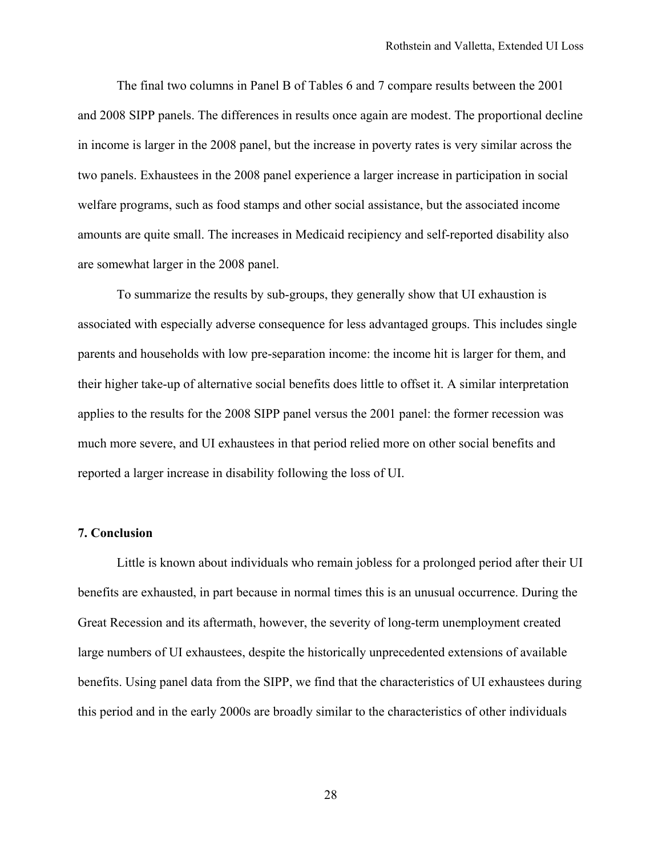The final two columns in Panel B of Tables 6 and 7 compare results between the 2001 and 2008 SIPP panels. The differences in results once again are modest. The proportional decline in income is larger in the 2008 panel, but the increase in poverty rates is very similar across the two panels. Exhaustees in the 2008 panel experience a larger increase in participation in social welfare programs, such as food stamps and other social assistance, but the associated income amounts are quite small. The increases in Medicaid recipiency and self-reported disability also are somewhat larger in the 2008 panel.

To summarize the results by sub-groups, they generally show that UI exhaustion is associated with especially adverse consequence for less advantaged groups. This includes single parents and households with low pre-separation income: the income hit is larger for them, and their higher take-up of alternative social benefits does little to offset it. A similar interpretation applies to the results for the 2008 SIPP panel versus the 2001 panel: the former recession was much more severe, and UI exhaustees in that period relied more on other social benefits and reported a larger increase in disability following the loss of UI.

### **7. Conclusion**

Little is known about individuals who remain jobless for a prolonged period after their UI benefits are exhausted, in part because in normal times this is an unusual occurrence. During the Great Recession and its aftermath, however, the severity of long-term unemployment created large numbers of UI exhaustees, despite the historically unprecedented extensions of available benefits. Using panel data from the SIPP, we find that the characteristics of UI exhaustees during this period and in the early 2000s are broadly similar to the characteristics of other individuals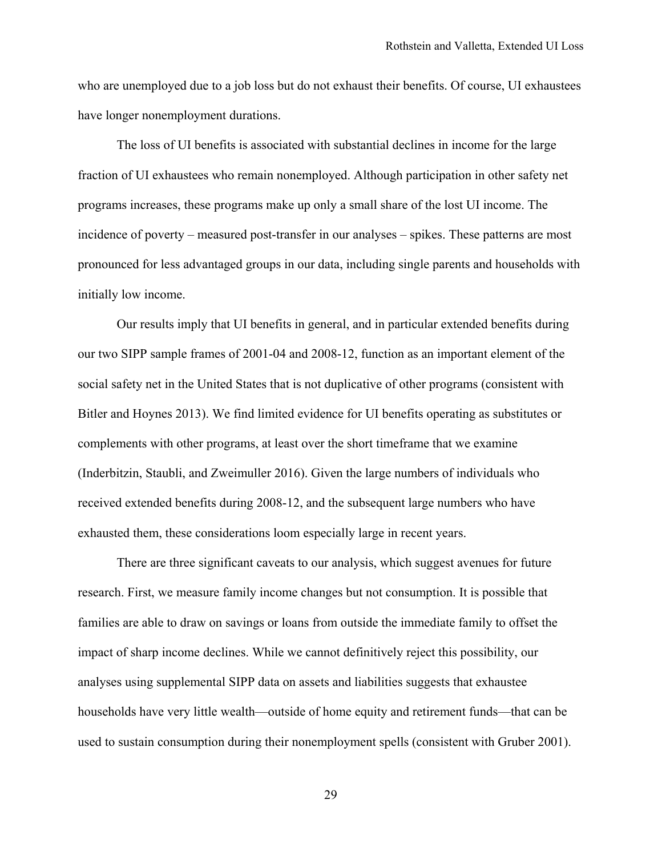who are unemployed due to a job loss but do not exhaust their benefits. Of course, UI exhaustees have longer nonemployment durations.

The loss of UI benefits is associated with substantial declines in income for the large fraction of UI exhaustees who remain nonemployed. Although participation in other safety net programs increases, these programs make up only a small share of the lost UI income. The incidence of poverty – measured post-transfer in our analyses – spikes. These patterns are most pronounced for less advantaged groups in our data, including single parents and households with initially low income.

Our results imply that UI benefits in general, and in particular extended benefits during our two SIPP sample frames of 2001-04 and 2008-12, function as an important element of the social safety net in the United States that is not duplicative of other programs (consistent with Bitler and Hoynes 2013). We find limited evidence for UI benefits operating as substitutes or complements with other programs, at least over the short timeframe that we examine (Inderbitzin, Staubli, and Zweimuller 2016). Given the large numbers of individuals who received extended benefits during 2008-12, and the subsequent large numbers who have exhausted them, these considerations loom especially large in recent years.

There are three significant caveats to our analysis, which suggest avenues for future research. First, we measure family income changes but not consumption. It is possible that families are able to draw on savings or loans from outside the immediate family to offset the impact of sharp income declines. While we cannot definitively reject this possibility, our analyses using supplemental SIPP data on assets and liabilities suggests that exhaustee households have very little wealth—outside of home equity and retirement funds—that can be used to sustain consumption during their nonemployment spells (consistent with Gruber 2001).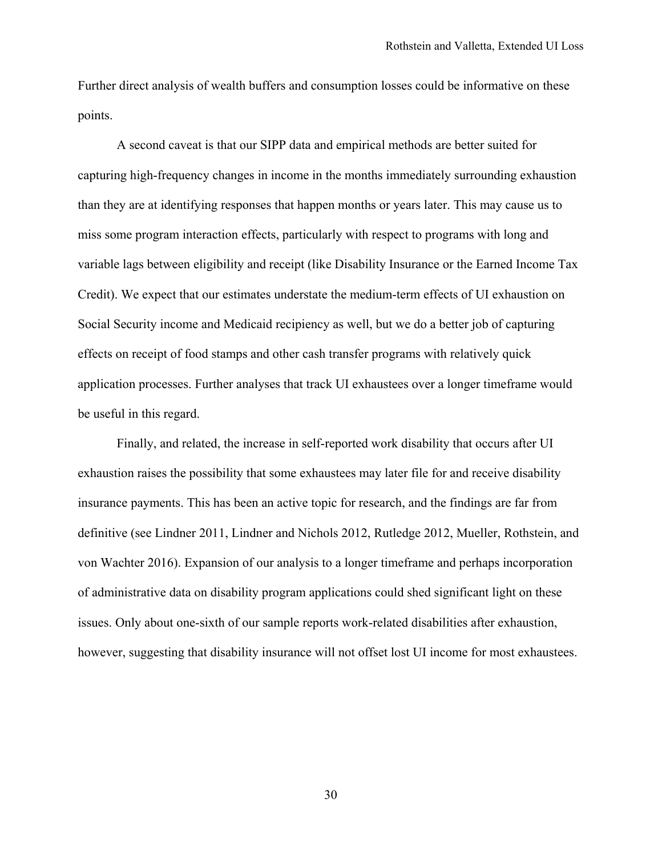Further direct analysis of wealth buffers and consumption losses could be informative on these points.

A second caveat is that our SIPP data and empirical methods are better suited for capturing high-frequency changes in income in the months immediately surrounding exhaustion than they are at identifying responses that happen months or years later. This may cause us to miss some program interaction effects, particularly with respect to programs with long and variable lags between eligibility and receipt (like Disability Insurance or the Earned Income Tax Credit). We expect that our estimates understate the medium-term effects of UI exhaustion on Social Security income and Medicaid recipiency as well, but we do a better job of capturing effects on receipt of food stamps and other cash transfer programs with relatively quick application processes. Further analyses that track UI exhaustees over a longer timeframe would be useful in this regard.

Finally, and related, the increase in self-reported work disability that occurs after UI exhaustion raises the possibility that some exhaustees may later file for and receive disability insurance payments. This has been an active topic for research, and the findings are far from definitive (see Lindner 2011, Lindner and Nichols 2012, Rutledge 2012, Mueller, Rothstein, and von Wachter 2016). Expansion of our analysis to a longer timeframe and perhaps incorporation of administrative data on disability program applications could shed significant light on these issues. Only about one-sixth of our sample reports work-related disabilities after exhaustion, however, suggesting that disability insurance will not offset lost UI income for most exhaustees.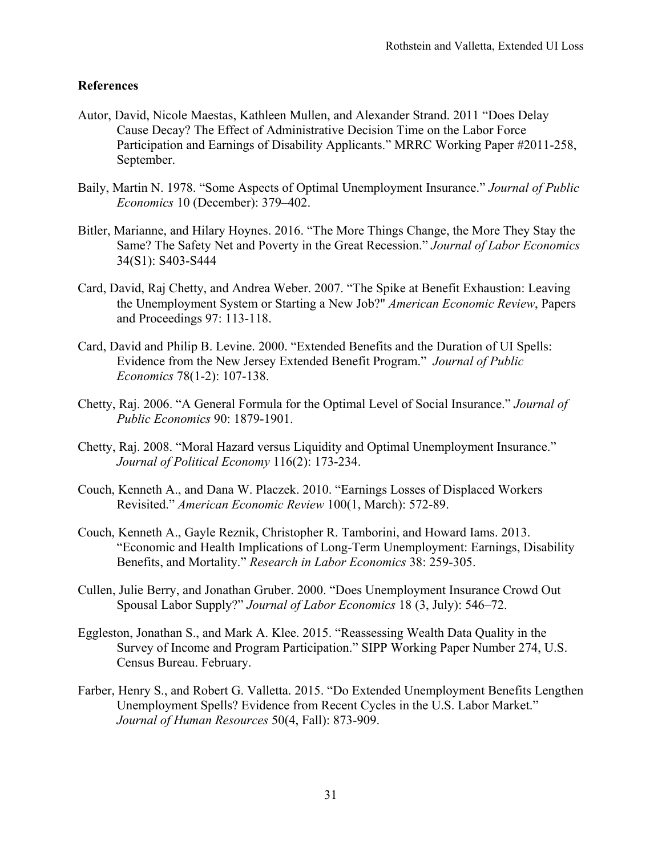# **References**

- Autor, David, Nicole Maestas, Kathleen Mullen, and Alexander Strand. 2011 "Does Delay Cause Decay? The Effect of Administrative Decision Time on the Labor Force Participation and Earnings of Disability Applicants." MRRC Working Paper #2011-258, September.
- Baily, Martin N. 1978. "Some Aspects of Optimal Unemployment Insurance." *Journal of Public Economics* 10 (December): 379–402.
- Bitler, Marianne, and Hilary Hoynes. 2016. "The More Things Change, the More They Stay the Same? The Safety Net and Poverty in the Great Recession." *Journal of Labor Economics* 34(S1): S403-S444
- Card, David, Raj Chetty, and Andrea Weber. 2007. "The Spike at Benefit Exhaustion: Leaving the Unemployment System or Starting a New Job?" *American Economic Review*, Papers and Proceedings 97: 113-118.
- Card, David and Philip B. Levine. 2000. "Extended Benefits and the Duration of UI Spells: Evidence from the New Jersey Extended Benefit Program." *Journal of Public Economics* 78(1-2): 107-138.
- Chetty, Raj. 2006. "A General Formula for the Optimal Level of Social Insurance." *Journal of Public Economics* 90: 1879-1901.
- Chetty, Raj. 2008. "Moral Hazard versus Liquidity and Optimal Unemployment Insurance." *Journal of Political Economy* 116(2): 173-234.
- Couch, Kenneth A., and Dana W. Placzek. 2010. "Earnings Losses of Displaced Workers Revisited." *American Economic Review* 100(1, March): 572-89.
- Couch, Kenneth A., Gayle Reznik, Christopher R. Tamborini, and Howard Iams. 2013. "Economic and Health Implications of Long-Term Unemployment: Earnings, Disability Benefits, and Mortality." *Research in Labor Economics* 38: 259-305.
- Cullen, Julie Berry, and Jonathan Gruber. 2000. "Does Unemployment Insurance Crowd Out Spousal Labor Supply?" *Journal of Labor Economics* 18 (3, July): 546–72.
- Eggleston, Jonathan S., and Mark A. Klee. 2015. "Reassessing Wealth Data Quality in the Survey of Income and Program Participation." SIPP Working Paper Number 274, U.S. Census Bureau. February.
- Farber, Henry S., and Robert G. Valletta. 2015. "Do Extended Unemployment Benefits Lengthen Unemployment Spells? Evidence from Recent Cycles in the U.S. Labor Market." *Journal of Human Resources* 50(4, Fall): 873-909.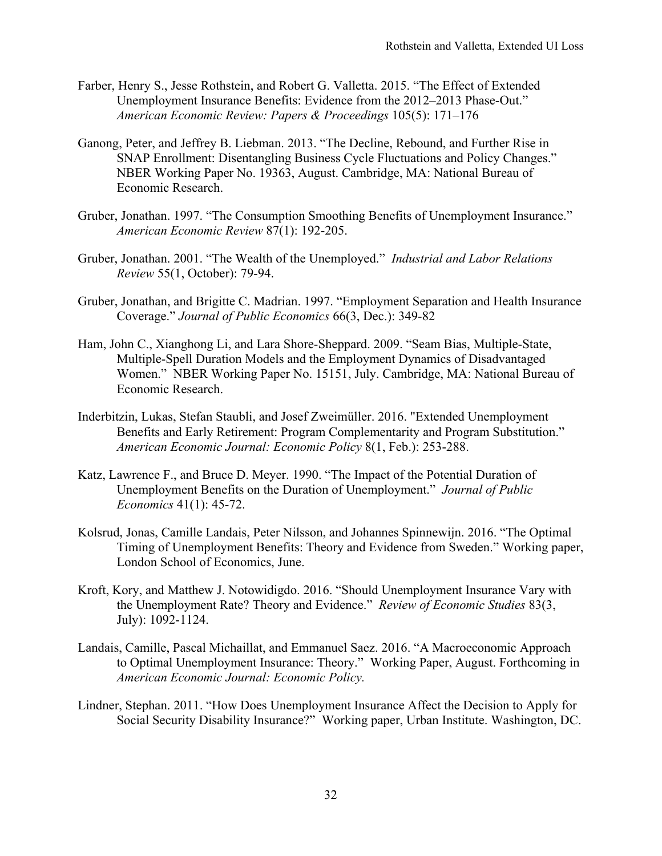- Farber, Henry S., Jesse Rothstein, and Robert G. Valletta. 2015. "The Effect of Extended Unemployment Insurance Benefits: Evidence from the 2012–2013 Phase-Out." *American Economic Review: Papers & Proceedings* 105(5): 171–176
- Ganong, Peter, and Jeffrey B. Liebman. 2013. "The Decline, Rebound, and Further Rise in SNAP Enrollment: Disentangling Business Cycle Fluctuations and Policy Changes." NBER Working Paper No. 19363, August. Cambridge, MA: National Bureau of Economic Research.
- Gruber, Jonathan. 1997. "The Consumption Smoothing Benefits of Unemployment Insurance." *American Economic Review* 87(1): 192-205.
- Gruber, Jonathan. 2001. "The Wealth of the Unemployed." *Industrial and Labor Relations Review* 55(1, October): 79-94.
- Gruber, Jonathan, and Brigitte C. Madrian. 1997. "Employment Separation and Health Insurance Coverage." *Journal of Public Economics* 66(3, Dec.): 349-82
- Ham, John C., Xianghong Li, and Lara Shore-Sheppard. 2009. "Seam Bias, Multiple-State, Multiple-Spell Duration Models and the Employment Dynamics of Disadvantaged Women." NBER Working Paper No. 15151, July. Cambridge, MA: National Bureau of Economic Research.
- Inderbitzin, Lukas, Stefan Staubli, and Josef Zweimüller. 2016. "Extended Unemployment Benefits and Early Retirement: Program Complementarity and Program Substitution." *American Economic Journal: Economic Policy* 8(1, Feb.): 253-288.
- Katz, Lawrence F., and Bruce D. Meyer. 1990. "The Impact of the Potential Duration of Unemployment Benefits on the Duration of Unemployment." *Journal of Public Economics* 41(1): 45-72.
- Kolsrud, Jonas, Camille Landais, Peter Nilsson, and Johannes Spinnewijn. 2016. "The Optimal Timing of Unemployment Benefits: Theory and Evidence from Sweden." Working paper, London School of Economics, June.
- Kroft, Kory, and Matthew J. Notowidigdo. 2016. "Should Unemployment Insurance Vary with the Unemployment Rate? Theory and Evidence." *Review of Economic Studies* 83(3, July): 1092-1124.
- Landais, Camille, Pascal Michaillat, and Emmanuel Saez. 2016. "A Macroeconomic Approach to Optimal Unemployment Insurance: Theory." Working Paper, August. Forthcoming in *American Economic Journal: Economic Policy.*
- Lindner, Stephan. 2011. "How Does Unemployment Insurance Affect the Decision to Apply for Social Security Disability Insurance?" Working paper, Urban Institute. Washington, DC.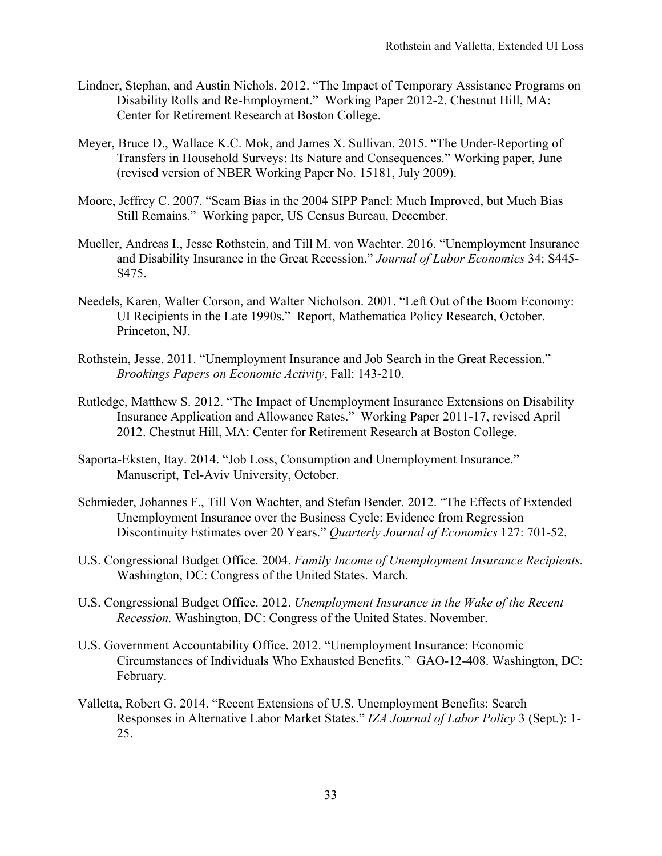- Lindner, Stephan, and Austin Nichols. 2012. "The Impact of Temporary Assistance Programs on Disability Rolls and Re-Employment." Working Paper 2012-2. Chestnut Hill, MA: Center for Retirement Research at Boston College.
- Meyer, Bruce D., Wallace K.C. Mok, and James X. Sullivan. 2015. "The Under-Reporting of Transfers in Household Surveys: Its Nature and Consequences." Working paper, June (revised version of NBER Working Paper No. 15181, July 2009).
- Moore, Jeffrey C. 2007. "Seam Bias in the 2004 SIPP Panel: Much Improved, but Much Bias Still Remains." Working paper, US Census Bureau, December.
- Mueller, Andreas I., Jesse Rothstein, and Till M. von Wachter. 2016. "Unemployment Insurance and Disability Insurance in the Great Recession." *Journal of Labor Economics* 34: S445- S475.
- Needels, Karen, Walter Corson, and Walter Nicholson. 2001. "Left Out of the Boom Economy: UI Recipients in the Late 1990s." Report, Mathematica Policy Research, October. Princeton, NJ.
- Rothstein, Jesse. 2011. "Unemployment Insurance and Job Search in the Great Recession." *Brookings Papers on Economic Activity*, Fall: 143-210.
- Rutledge, Matthew S. 2012. "The Impact of Unemployment Insurance Extensions on Disability Insurance Application and Allowance Rates." Working Paper 2011-17, revised April 2012. Chestnut Hill, MA: Center for Retirement Research at Boston College.
- Saporta-Eksten, Itay. 2014. "Job Loss, Consumption and Unemployment Insurance." Manuscript, Tel-Aviv University, October.
- Schmieder, Johannes F., Till Von Wachter, and Stefan Bender. 2012. "The Effects of Extended Unemployment Insurance over the Business Cycle: Evidence from Regression Discontinuity Estimates over 20 Years." *Quarterly Journal of Economics* 127: 701-52.
- U.S. Congressional Budget Office. 2004. *Family Income of Unemployment Insurance Recipients.* Washington, DC: Congress of the United States. March.
- U.S. Congressional Budget Office. 2012. *Unemployment Insurance in the Wake of the Recent Recession.* Washington, DC: Congress of the United States. November.
- U.S. Government Accountability Office. 2012. "Unemployment Insurance: Economic Circumstances of Individuals Who Exhausted Benefits." GAO-12-408. Washington, DC: February.
- Valletta, Robert G. 2014. "Recent Extensions of U.S. Unemployment Benefits: Search Responses in Alternative Labor Market States." *IZA Journal of Labor Policy* 3 (Sept.): 1- 25.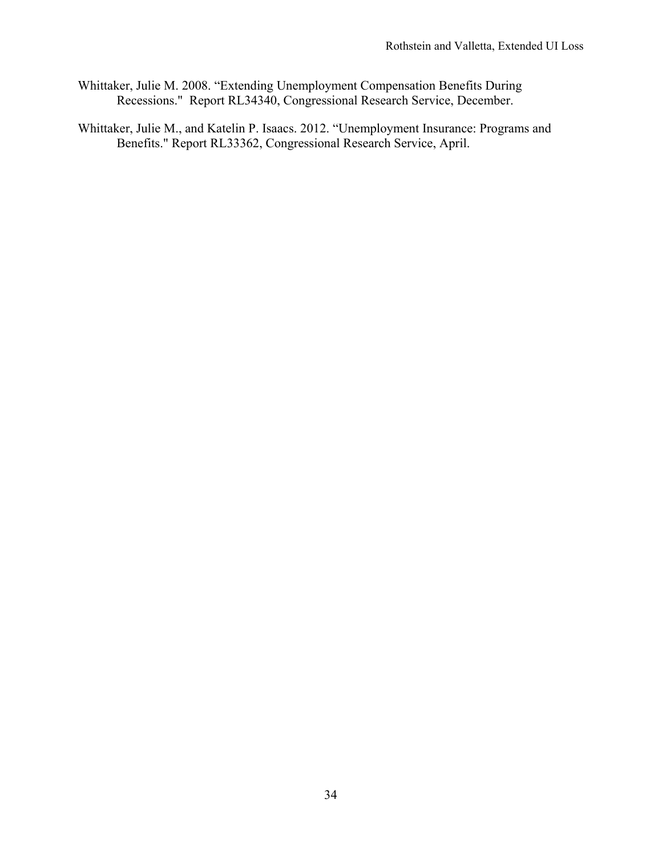- Whittaker, Julie M. 2008. "Extending Unemployment Compensation Benefits During Recessions." Report RL34340, Congressional Research Service, December.
- Whittaker, Julie M., and Katelin P. Isaacs. 2012. "Unemployment Insurance: Programs and Benefits." Report RL33362, Congressional Research Service, April.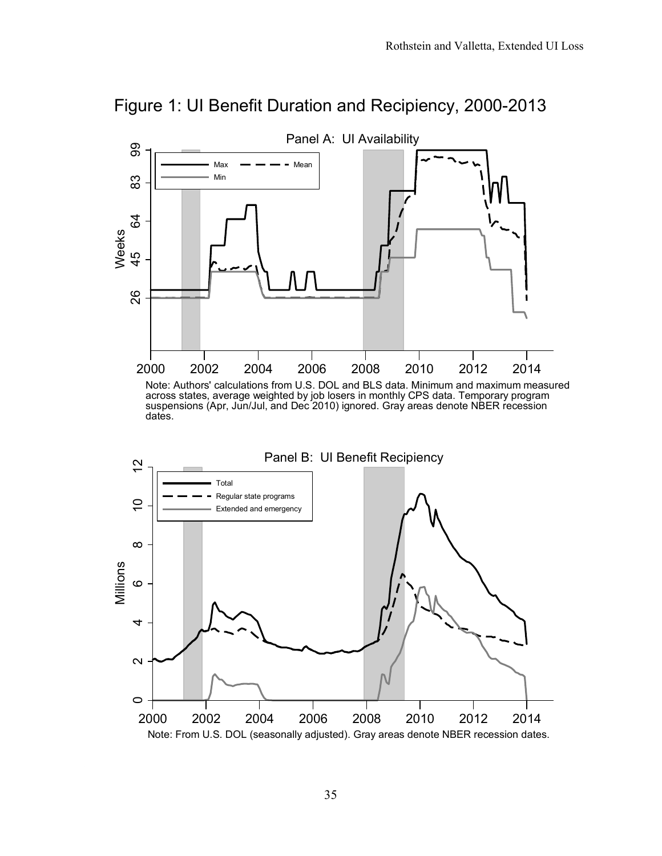

Note: From U.S. DOL (seasonally adjusted). Gray areas denote NBER recession dates.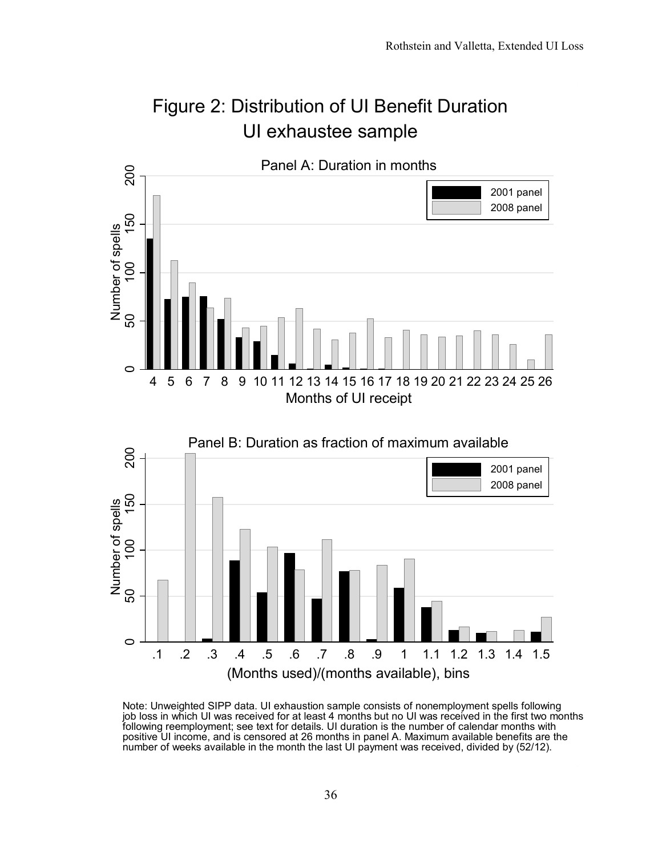

Note: Unweighted SIPP data. UI exhaustion sample consists of nonemployment spells following job loss in which UI was received for at least 4 months but no UI was received in the first two months following reemployment; see text for details. UI duration is the number of calendar months with positive UI income, and is censored at 26 months in panel A. Maximum available benefits are the number of weeks available in the month the last UI payment was received, divided by (52/12).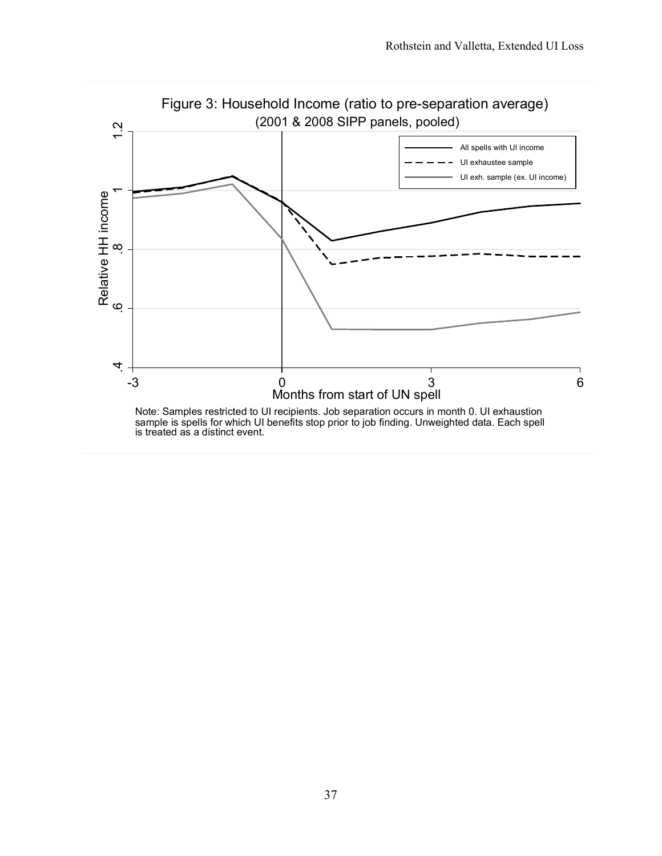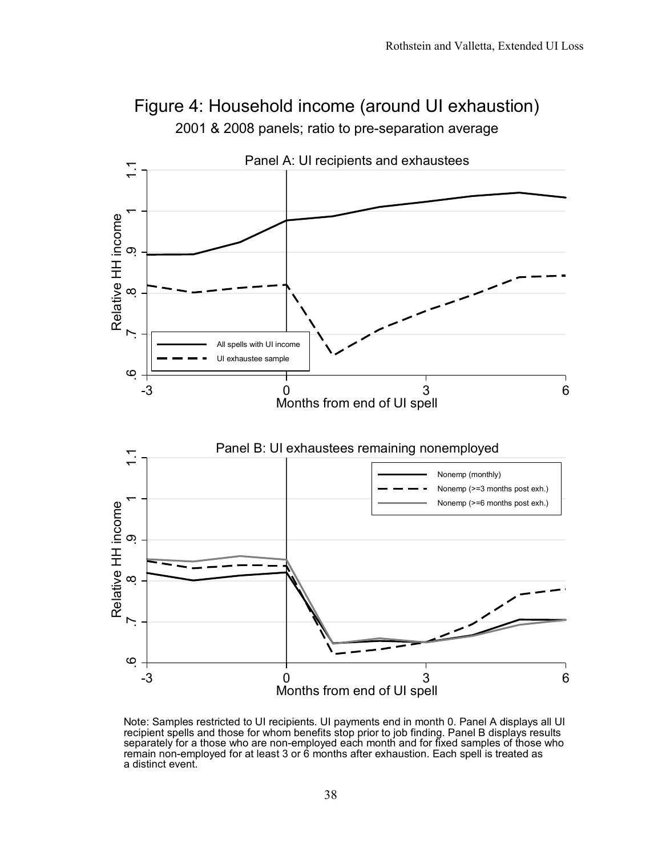

2001 & 2008 panels; ratio to pre-separation average Figure 4: Household income (around UI exhaustion)

Note: Samples restricted to UI recipients. UI payments end in month 0. Panel A displays all UI recipient spells and those for whom benefits stop prior to job finding. Panel B displays results separately for a those who are non-employed each month and for fixed samples of those who remain non-employed for at least 3 or 6 months after exhaustion. Each spell is treated as a distinct event.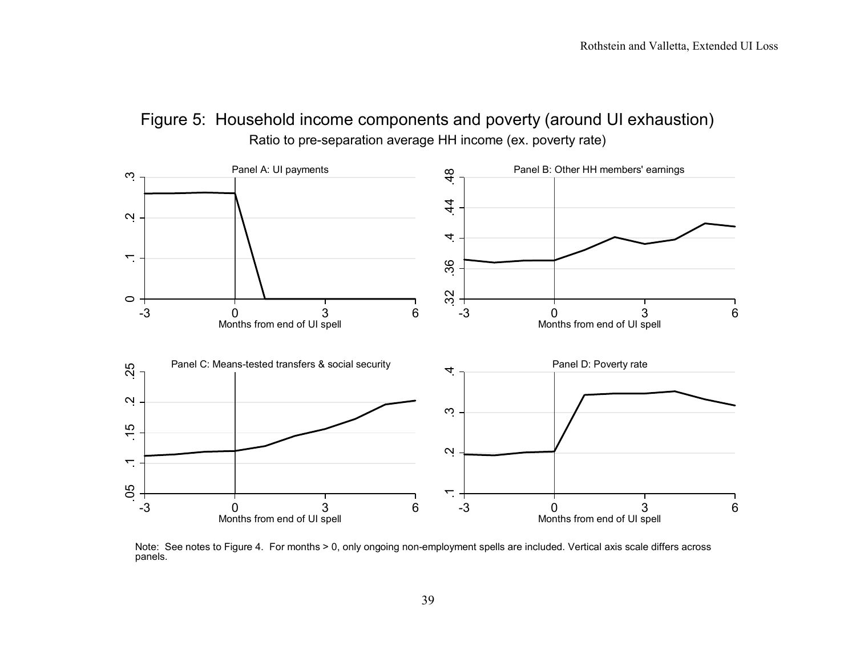



Note: See notes to Figure 4. For months > 0, only ongoing non-employment spells are included. Vertical axis scale differs across panels.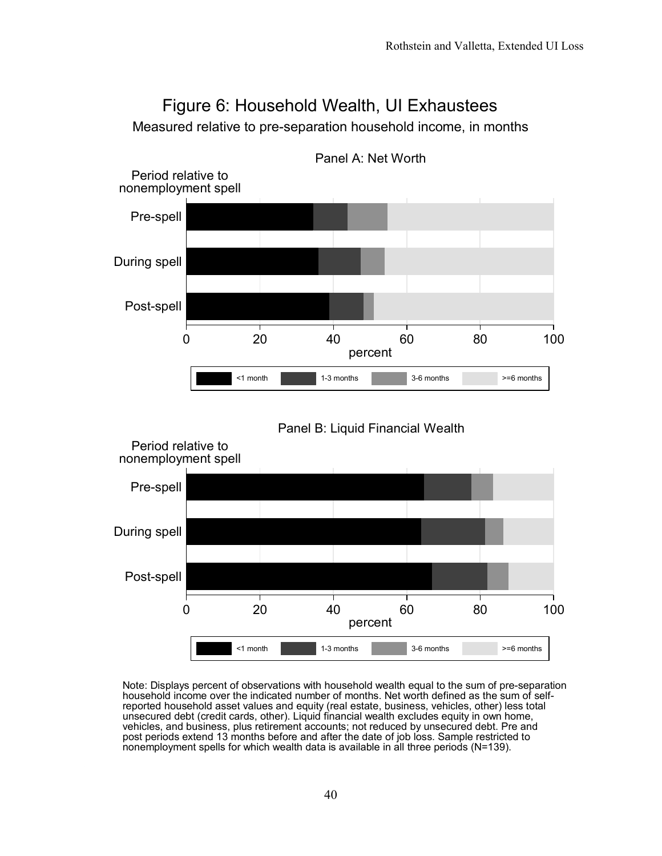

Note: Displays percent of observations with household wealth equal to the sum of pre-separation household income over the indicated number of months. Net worth defined as the sum of selfreported household asset values and equity (real estate, business, vehicles, other) less total unsecured debt (credit cards, other). Liquid financial wealth excludes equity in own home, vehicles, and business, plus retirement accounts; not reduced by unsecured debt. Pre and post periods extend 13 months before and after the date of job loss. Sample restricted to nonemployment spells for which wealth data is available in all three periods (N=139).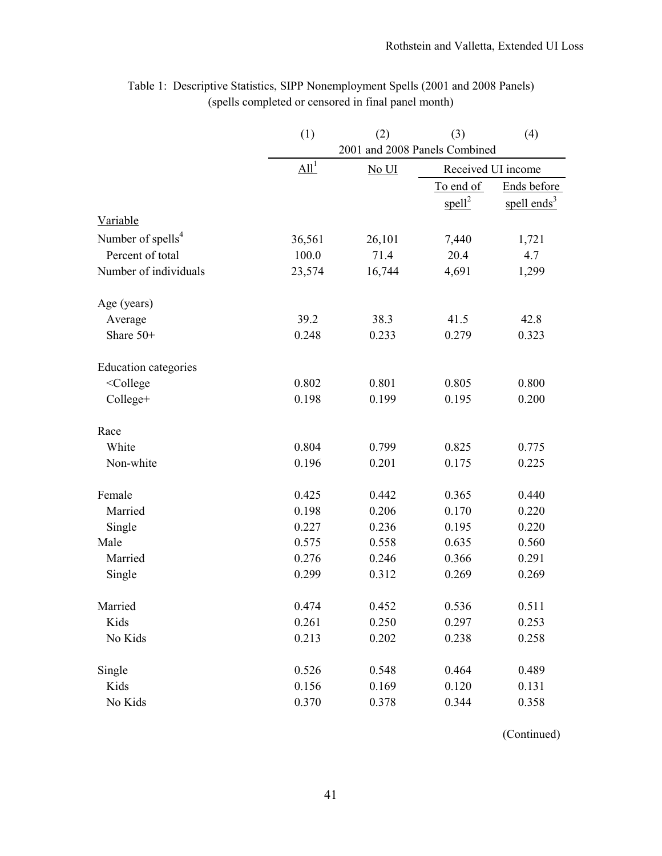|                                                                                     | (1)                          | (2)                           | (3)                | (4)            |  |  |  |  |  |
|-------------------------------------------------------------------------------------|------------------------------|-------------------------------|--------------------|----------------|--|--|--|--|--|
|                                                                                     |                              | 2001 and 2008 Panels Combined |                    |                |  |  |  |  |  |
|                                                                                     | $\underline{\mathrm{All}}^1$ | No UI                         | Received UI income |                |  |  |  |  |  |
|                                                                                     |                              |                               | To end of          | Ends before    |  |  |  |  |  |
|                                                                                     |                              |                               | spell <sup>2</sup> | spell ends $3$ |  |  |  |  |  |
| Variable                                                                            |                              |                               |                    |                |  |  |  |  |  |
| Number of spells <sup>4</sup>                                                       | 36,561                       | 26,101                        | 7,440              | 1,721          |  |  |  |  |  |
| Percent of total                                                                    | 100.0                        | 71.4                          | 20.4               | 4.7            |  |  |  |  |  |
| Number of individuals                                                               | 23,574                       | 16,744                        | 4,691              | 1,299          |  |  |  |  |  |
| Age (years)                                                                         |                              |                               |                    |                |  |  |  |  |  |
| Average                                                                             | 39.2                         | 38.3                          | 41.5               | 42.8           |  |  |  |  |  |
| Share 50+                                                                           | 0.248                        | 0.233                         | 0.279              | 0.323          |  |  |  |  |  |
| <b>Education categories</b>                                                         |                              |                               |                    |                |  |  |  |  |  |
| <college< td=""><td>0.802</td><td>0.801</td><td>0.805</td><td>0.800</td></college<> | 0.802                        | 0.801                         | 0.805              | 0.800          |  |  |  |  |  |
| College+                                                                            | 0.198                        | 0.199                         | 0.195              | 0.200          |  |  |  |  |  |
| Race                                                                                |                              |                               |                    |                |  |  |  |  |  |
| White                                                                               | 0.804                        | 0.799                         | 0.825              | 0.775          |  |  |  |  |  |
| Non-white                                                                           | 0.196                        | 0.201                         | 0.175              | 0.225          |  |  |  |  |  |
| Female                                                                              | 0.425                        | 0.442                         | 0.365              | 0.440          |  |  |  |  |  |
| Married                                                                             | 0.198                        | 0.206                         | 0.170              | 0.220          |  |  |  |  |  |
| Single                                                                              | 0.227                        | 0.236                         | 0.195              | 0.220          |  |  |  |  |  |
| Male                                                                                | 0.575                        | 0.558                         | 0.635              | 0.560          |  |  |  |  |  |
| Married                                                                             | 0.276                        | 0.246                         | 0.366              | 0.291          |  |  |  |  |  |
| Single                                                                              | 0.299                        | 0.312                         | 0.269              | 0.269          |  |  |  |  |  |
| Married                                                                             | 0.474                        | 0.452                         | 0.536              | 0.511          |  |  |  |  |  |
| Kids                                                                                | 0.261                        | 0.250                         | 0.297              | 0.253          |  |  |  |  |  |
| No Kids                                                                             | 0.213                        | 0.202                         | 0.238              | 0.258          |  |  |  |  |  |
| Single                                                                              | 0.526                        | 0.548                         | 0.464              | 0.489          |  |  |  |  |  |
| Kids                                                                                | 0.156                        | 0.169                         | 0.120              | 0.131          |  |  |  |  |  |
| No Kids                                                                             | 0.370                        | 0.378                         | 0.344              | 0.358          |  |  |  |  |  |

# Table 1: Descriptive Statistics, SIPP Nonemployment Spells (2001 and 2008 Panels) (spells completed or censored in final panel month)

(Continued)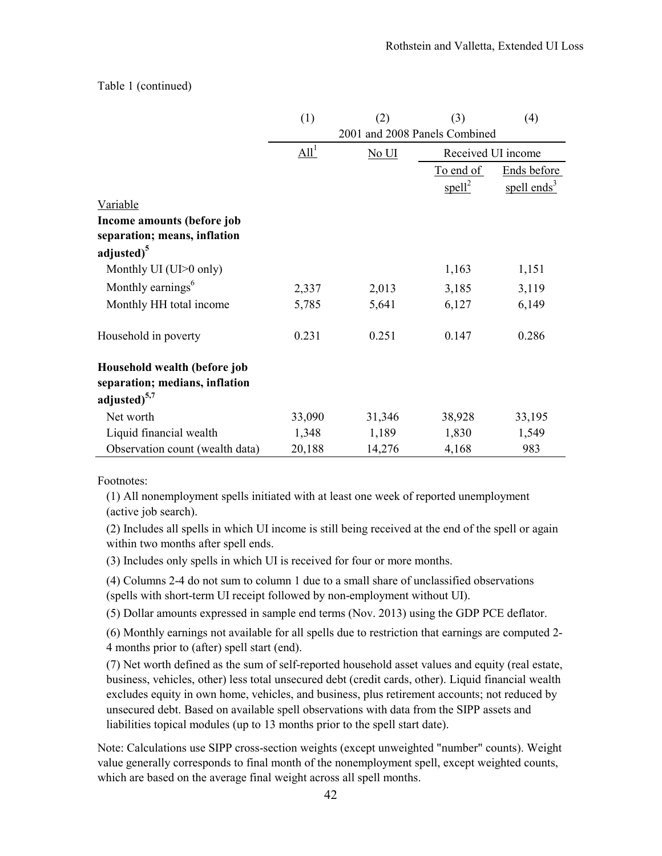# Table 1 (continued)

|                                                            | (1)              | (2)                               | (3)                | (4)                     |  |  |
|------------------------------------------------------------|------------------|-----------------------------------|--------------------|-------------------------|--|--|
|                                                            |                  | 2001 and 2008 Panels Combined     |                    |                         |  |  |
|                                                            | All <sup>1</sup> | $\overline{\text{No } \text{UI}}$ |                    | Received UI income      |  |  |
|                                                            |                  |                                   | To end of          | Ends before             |  |  |
|                                                            |                  |                                   | spell <sup>2</sup> | spell ends <sup>3</sup> |  |  |
| Variable                                                   |                  |                                   |                    |                         |  |  |
| Income amounts (before job<br>separation; means, inflation |                  |                                   |                    |                         |  |  |
| adjusted) <sup>5</sup>                                     |                  |                                   |                    |                         |  |  |
| Monthly UI (UI>0 only)                                     |                  |                                   | 1,163              | 1,151                   |  |  |
| Monthly earnings <sup>6</sup>                              | 2,337            | 2,013                             | 3,185              | 3,119                   |  |  |
| Monthly HH total income                                    | 5,785            | 5,641                             | 6,127              | 6,149                   |  |  |
| Household in poverty                                       | 0.231            | 0.251                             | 0.147              | 0.286                   |  |  |
| Household wealth (before job                               |                  |                                   |                    |                         |  |  |
| separation; medians, inflation                             |                  |                                   |                    |                         |  |  |
| adjusted $5,7$                                             |                  |                                   |                    |                         |  |  |
| Net worth                                                  | 33,090           | 31,346                            | 38,928             | 33,195                  |  |  |
| Liquid financial wealth                                    | 1,348            | 1,189                             | 1,830              | 1,549                   |  |  |
| Observation count (wealth data)                            | 20,188           | 14,276                            | 4,168              | 983                     |  |  |

Footnotes:

(1) All nonemployment spells initiated with at least one week of reported unemployment (active job search).

(2) Includes all spells in which UI income is still being received at the end of the spell or again within two months after spell ends.

(3) Includes only spells in which UI is received for four or more months.

(4) Columns 2-4 do not sum to column 1 due to a small share of unclassified observations (spells with short-term UI receipt followed by non-employment without UI).

(5) Dollar amounts expressed in sample end terms (Nov. 2013) using the GDP PCE deflator.

(6) Monthly earnings not available for all spells due to restriction that earnings are computed 2- 4 months prior to (after) spell start (end).

(7) Net worth defined as the sum of self-reported household asset values and equity (real estate, business, vehicles, other) less total unsecured debt (credit cards, other). Liquid financial wealth excludes equity in own home, vehicles, and business, plus retirement accounts; not reduced by unsecured debt. Based on available spell observations with data from the SIPP assets and liabilities topical modules (up to 13 months prior to the spell start date).

Note: Calculations use SIPP cross-section weights (except unweighted "number" counts). Weight value generally corresponds to final month of the nonemployment spell, except weighted counts, which are based on the average final weight across all spell months.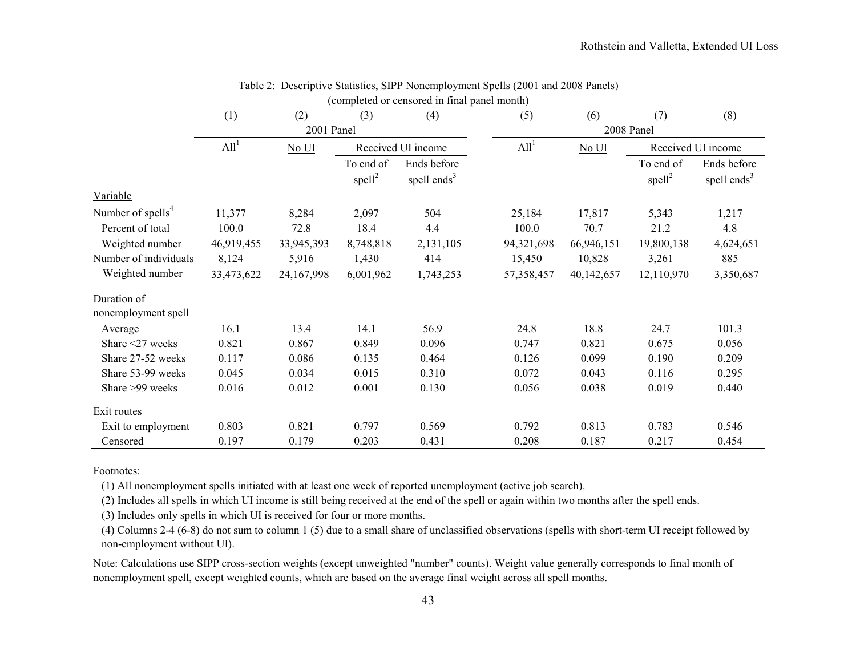|                               | (1)        | (2)        | (3)                | (4)                     | (5)              | (6)        | (7)                | (8)                     |
|-------------------------------|------------|------------|--------------------|-------------------------|------------------|------------|--------------------|-------------------------|
|                               |            | 2001 Panel |                    |                         |                  |            | 2008 Panel         |                         |
|                               | $All^1$    | No UI      |                    | Received UI income      | All <sup>1</sup> | No UI      |                    | Received UI income      |
|                               |            |            | To end of          | Ends before             |                  |            | To end of          | Ends before             |
|                               |            |            | spell <sup>2</sup> | spell ends <sup>3</sup> |                  |            | spell <sup>2</sup> | spell ends <sup>3</sup> |
| Variable                      |            |            |                    |                         |                  |            |                    |                         |
| Number of spells <sup>4</sup> | 11,377     | 8,284      | 2,097              | 504                     | 25,184           | 17,817     | 5,343              | 1,217                   |
| Percent of total              | 100.0      | 72.8       | 18.4               | 4.4                     | 100.0            | 70.7       | 21.2               | 4.8                     |
| Weighted number               | 46,919,455 | 33,945,393 | 8,748,818          | 2,131,105               | 94,321,698       | 66,946,151 | 19,800,138         | 4,624,651               |
| Number of individuals         | 8,124      | 5,916      | 1,430              | 414                     | 15,450           | 10,828     | 3,261              | 885                     |
| Weighted number               | 33,473,622 | 24,167,998 | 6,001,962          | 1,743,253               | 57,358,457       | 40,142,657 | 12,110,970         | 3,350,687               |
| Duration of                   |            |            |                    |                         |                  |            |                    |                         |
| nonemployment spell           |            |            |                    |                         |                  |            |                    |                         |
| Average                       | 16.1       | 13.4       | 14.1               | 56.9                    | 24.8             | 18.8       | 24.7               | 101.3                   |
| Share $\leq$ 27 weeks         | 0.821      | 0.867      | 0.849              | 0.096                   | 0.747            | 0.821      | 0.675              | 0.056                   |
| Share 27-52 weeks             | 0.117      | 0.086      | 0.135              | 0.464                   | 0.126            | 0.099      | 0.190              | 0.209                   |
| Share 53-99 weeks             | 0.045      | 0.034      | 0.015              | 0.310                   | 0.072            | 0.043      | 0.116              | 0.295                   |
| Share >99 weeks               | 0.016      | 0.012      | 0.001              | 0.130                   | 0.056            | 0.038      | 0.019              | 0.440                   |
| Exit routes                   |            |            |                    |                         |                  |            |                    |                         |
| Exit to employment            | 0.803      | 0.821      | 0.797              | 0.569                   | 0.792            | 0.813      | 0.783              | 0.546                   |
| Censored                      | 0.197      | 0.179      | 0.203              | 0.431                   | 0.208            | 0.187      | 0.217              | 0.454                   |

# Table 2: Descriptive Statistics, SIPP Nonemployment Spells (2001 and 2008 Panels) (completed or censored in final panel month)

Footnotes:

(1) All nonemployment spells initiated with at least one week of reported unemployment (active job search).

(2) Includes all spells in which UI income is still being received at the end of the spell or again within two months after the spell ends.

(3) Includes only spells in which UI is received for four or more months.

(4) Columns 2-4 (6-8) do not sum to column 1 (5) due to a small share of unclassified observations (spells with short-term UI receipt followed by non-employment without UI).

Note: Calculations use SIPP cross-section weights (except unweighted "number" counts). Weight value generally corresponds to final month of nonemployment spell, except weighted counts, which are based on the average final weight across all spell months.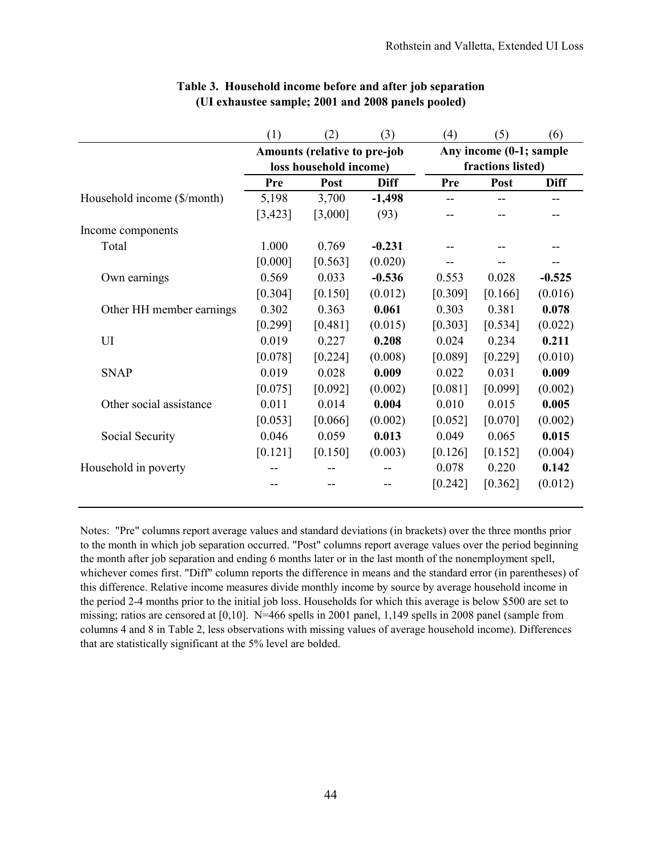|                             | (1)     | (2)                                                    | (3)         | (4)     | (5)                                          | (6)         |  |
|-----------------------------|---------|--------------------------------------------------------|-------------|---------|----------------------------------------------|-------------|--|
|                             |         | Amounts (relative to pre-job<br>loss household income) |             |         | Any income (0-1; sample<br>fractions listed) |             |  |
|                             | Pre     | Post                                                   | <b>Diff</b> | Pre     | Post                                         | <b>Diff</b> |  |
| Household income (\$/month) | 5,198   | 3,700                                                  | $-1,498$    |         |                                              |             |  |
|                             | [3,423] | [3,000]                                                | (93)        |         |                                              |             |  |
| Income components           |         |                                                        |             |         |                                              |             |  |
| Total                       | 1.000   | 0.769                                                  | $-0.231$    |         |                                              |             |  |
|                             | [0.000] | [0.563]                                                | (0.020)     |         |                                              |             |  |
| Own earnings                | 0.569   | 0.033                                                  | $-0.536$    | 0.553   | 0.028                                        | $-0.525$    |  |
|                             | [0.304] | [0.150]                                                | (0.012)     | [0.309] | [0.166]                                      | (0.016)     |  |
| Other HH member earnings    | 0.302   | 0.363                                                  | 0.061       | 0.303   | 0.381                                        | 0.078       |  |
|                             | [0.299] | [0.481]                                                | (0.015)     | [0.303] | [0.534]                                      | (0.022)     |  |
| UI                          | 0.019   | 0.227                                                  | 0.208       | 0.024   | 0.234                                        | 0.211       |  |
|                             | [0.078] | [0.224]                                                | (0.008)     | [0.089] | [0.229]                                      | (0.010)     |  |
| <b>SNAP</b>                 | 0.019   | 0.028                                                  | 0.009       | 0.022   | 0.031                                        | 0.009       |  |
|                             | [0.075] | [0.092]                                                | (0.002)     | [0.081] | [0.099]                                      | (0.002)     |  |
| Other social assistance     | 0.011   | 0.014                                                  | 0.004       | 0.010   | 0.015                                        | 0.005       |  |
|                             | [0.053] | [0.066]                                                | (0.002)     | [0.052] | [0.070]                                      | (0.002)     |  |
| Social Security             | 0.046   | 0.059                                                  | 0.013       | 0.049   | 0.065                                        | 0.015       |  |
|                             | [0.121] | [0.150]                                                | (0.003)     | [0.126] | [0.152]                                      | (0.004)     |  |
| Household in poverty        |         |                                                        |             | 0.078   | 0.220                                        | 0.142       |  |
|                             |         |                                                        |             | [0.242] | [0.362]                                      | (0.012)     |  |

# **Table 3. Household income before and after job separation (UI exhaustee sample; 2001 and 2008 panels pooled)**

Notes: "Pre" columns report average values and standard deviations (in brackets) over the three months prior to the month in which job separation occurred. "Post" columns report average values over the period beginning the month after job separation and ending 6 months later or in the last month of the nonemployment spell, whichever comes first. "Diff" column reports the difference in means and the standard error (in parentheses) of this difference. Relative income measures divide monthly income by source by average household income in the period 2-4 months prior to the initial job loss. Households for which this average is below \$500 are set to missing; ratios are censored at [0,10]. N=466 spells in 2001 panel, 1,149 spells in 2008 panel (sample from columns 4 and 8 in Table 2, less observations with missing values of average household income). Differences that are statistically significant at the 5% level are bolded.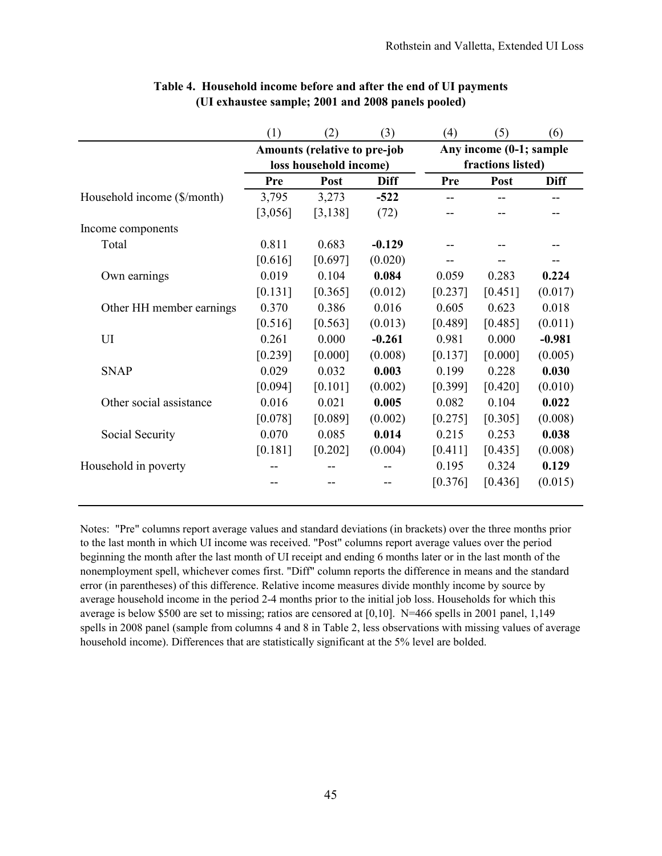|                             | (1)     | (2)                                                    | (3)         | (4)                                          | (5)     | (6)         |
|-----------------------------|---------|--------------------------------------------------------|-------------|----------------------------------------------|---------|-------------|
|                             |         | Amounts (relative to pre-job<br>loss household income) |             | Any income (0-1; sample<br>fractions listed) |         |             |
|                             | Pre     | Post                                                   | <b>Diff</b> | Pre                                          | Post    | <b>Diff</b> |
| Household income (\$/month) | 3,795   | 3,273                                                  | $-522$      |                                              |         |             |
|                             | [3,056] | [3, 138]                                               | (72)        |                                              |         |             |
| Income components           |         |                                                        |             |                                              |         |             |
| Total                       | 0.811   | 0.683                                                  | $-0.129$    |                                              |         |             |
|                             | [0.616] | [0.697]                                                | (0.020)     |                                              |         |             |
| Own earnings                | 0.019   | 0.104                                                  | 0.084       | 0.059                                        | 0.283   | 0.224       |
|                             | [0.131] | [0.365]                                                | (0.012)     | [0.237]                                      | [0.451] | (0.017)     |
| Other HH member earnings    | 0.370   | 0.386                                                  | 0.016       | 0.605                                        | 0.623   | 0.018       |
|                             | [0.516] | [0.563]                                                | (0.013)     | [0.489]                                      | [0.485] | (0.011)     |
| UI                          | 0.261   | 0.000                                                  | $-0.261$    | 0.981                                        | 0.000   | $-0.981$    |
|                             | [0.239] | [0.000]                                                | (0.008)     | [0.137]                                      | [0.000] | (0.005)     |
| <b>SNAP</b>                 | 0.029   | 0.032                                                  | 0.003       | 0.199                                        | 0.228   | 0.030       |
|                             | [0.094] | [0.101]                                                | (0.002)     | [0.399]                                      | [0.420] | (0.010)     |
| Other social assistance     | 0.016   | 0.021                                                  | 0.005       | 0.082                                        | 0.104   | 0.022       |
|                             | [0.078] | [0.089]                                                | (0.002)     | [0.275]                                      | [0.305] | (0.008)     |
| Social Security             | 0.070   | 0.085                                                  | 0.014       | 0.215                                        | 0.253   | 0.038       |
|                             | [0.181] | [0.202]                                                | (0.004)     | [0.411]                                      | [0.435] | (0.008)     |
| Household in poverty        |         |                                                        |             | 0.195                                        | 0.324   | 0.129       |
|                             |         |                                                        |             | [0.376]                                      | [0.436] | (0.015)     |

# **Table 4. Household income before and after the end of UI payments (UI exhaustee sample; 2001 and 2008 panels pooled)**

Notes: "Pre" columns report average values and standard deviations (in brackets) over the three months prior to the last month in which UI income was received. "Post" columns report average values over the period beginning the month after the last month of UI receipt and ending 6 months later or in the last month of the nonemployment spell, whichever comes first. "Diff" column reports the difference in means and the standard error (in parentheses) of this difference. Relative income measures divide monthly income by source by average household income in the period 2-4 months prior to the initial job loss. Households for which this average is below \$500 are set to missing; ratios are censored at [0,10]. N=466 spells in 2001 panel, 1,149 spells in 2008 panel (sample from columns 4 and 8 in Table 2, less observations with missing values of average household income). Differences that are statistically significant at the 5% level are bolded.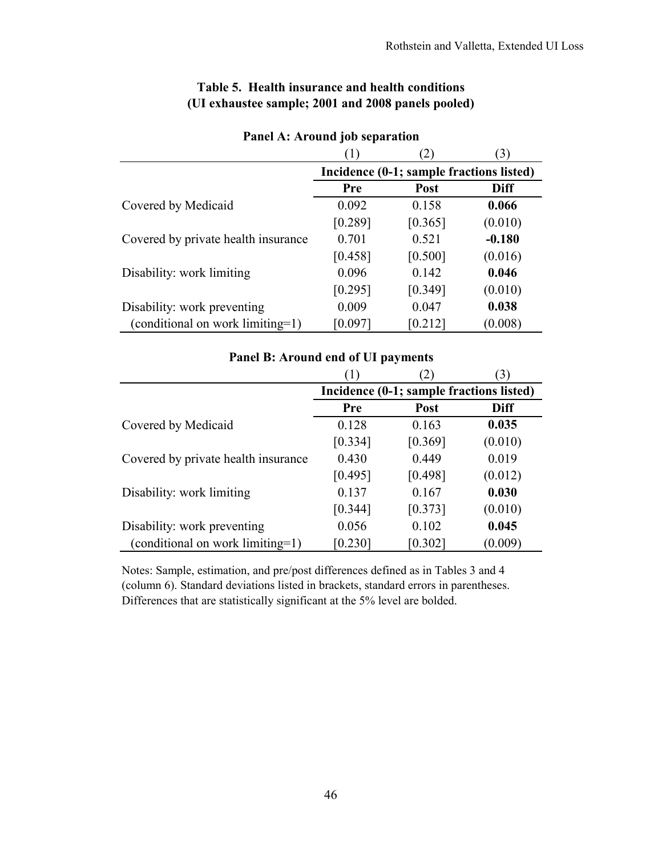|                                     |         | 2)                                       | 3)       |
|-------------------------------------|---------|------------------------------------------|----------|
|                                     |         | Incidence (0-1; sample fractions listed) |          |
|                                     | Pre     | <b>Post</b>                              | Diff     |
| Covered by Medicaid                 | 0.092   | 0.158                                    | 0.066    |
|                                     | [0.289] | [0.365]                                  | (0.010)  |
| Covered by private health insurance | 0.701   | 0.521                                    | $-0.180$ |
|                                     | [0.458] | [0.500]                                  | (0.016)  |
| Disability: work limiting           | 0.096   | 0.142                                    | 0.046    |
|                                     | [0.295] | [0.349]                                  | (0.010)  |
| Disability: work preventing         | 0.009   | 0.047                                    | 0.038    |
| (conditional on work limiting=1)    | [0.097] | $[0.212]$                                | (0.008)  |

# **Table 5. Health insurance and health conditions (UI exhaustee sample; 2001 and 2008 panels pooled)**

**Panel A: Around job separation**

# **Panel B: Around end of UI payments**

|                                     |         | $\mathbf{2})$                            | 3)          |
|-------------------------------------|---------|------------------------------------------|-------------|
|                                     |         | Incidence (0-1; sample fractions listed) |             |
|                                     | Pre     | <b>Post</b>                              | <b>Diff</b> |
| Covered by Medicaid                 | 0.128   | 0.163                                    | 0.035       |
|                                     | [0.334] | [0.369]                                  | (0.010)     |
| Covered by private health insurance | 0.430   | 0.449                                    | 0.019       |
|                                     | [0.495] | [0.498]                                  | (0.012)     |
| Disability: work limiting           | 0.137   | 0.167                                    | 0.030       |
|                                     | [0.344] | [0.373]                                  | (0.010)     |
| Disability: work preventing         | 0.056   | 0.102                                    | 0.045       |
| (conditional on work limiting=1)    | [0.230] | [0.302]                                  | (0.009)     |

Notes: Sample, estimation, and pre/post differences defined as in Tables 3 and 4 (column 6). Standard deviations listed in brackets, standard errors in parentheses. Differences that are statistically significant at the 5% level are bolded.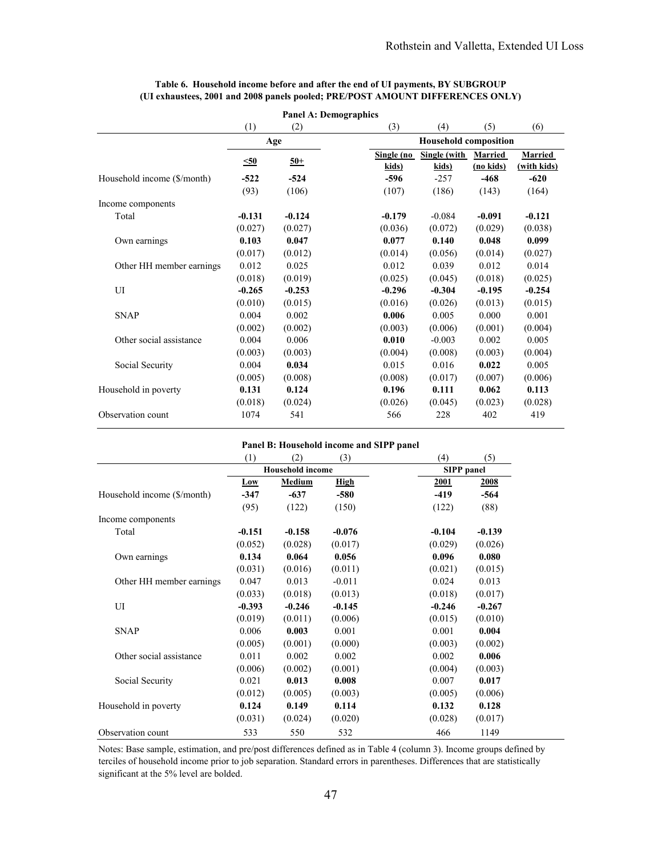|                             |           | <b>Panel A: Demographics</b> |            |                              |                |                |
|-----------------------------|-----------|------------------------------|------------|------------------------------|----------------|----------------|
|                             | (1)       | (2)                          | (3)        | (4)                          | (5)            | (6)            |
|                             |           | Age                          |            | <b>Household composition</b> |                |                |
|                             | $\leq 50$ | $50+$                        | Single (no | Single (with                 | <b>Married</b> | <b>Married</b> |
|                             |           |                              | kids)      | kids)                        | (no kids)      | (with kids)    |
| Household income (\$/month) | $-522$    | $-524$                       | $-596$     | $-257$                       | $-468$         | $-620$         |
|                             | (93)      | (106)                        | (107)      | (186)                        | (143)          | (164)          |
| Income components           |           |                              |            |                              |                |                |
| Total                       | $-0.131$  | $-0.124$                     | $-0.179$   | $-0.084$                     | $-0.091$       | $-0.121$       |
|                             | (0.027)   | (0.027)                      | (0.036)    | (0.072)                      | (0.029)        | (0.038)        |
| Own earnings                | 0.103     | 0.047                        | 0.077      | 0.140                        | 0.048          | 0.099          |
|                             | (0.017)   | (0.012)                      | (0.014)    | (0.056)                      | (0.014)        | (0.027)        |
| Other HH member earnings    | 0.012     | 0.025                        | 0.012      | 0.039                        | 0.012          | 0.014          |
|                             | (0.018)   | (0.019)                      | (0.025)    | (0.045)                      | (0.018)        | (0.025)        |
| UI                          | $-0.265$  | $-0.253$                     | $-0.296$   | $-0.304$                     | $-0.195$       | $-0.254$       |
|                             | (0.010)   | (0.015)                      | (0.016)    | (0.026)                      | (0.013)        | (0.015)        |
| <b>SNAP</b>                 | 0.004     | 0.002                        | 0.006      | 0.005                        | 0.000          | 0.001          |
|                             | (0.002)   | (0.002)                      | (0.003)    | (0.006)                      | (0.001)        | (0.004)        |
| Other social assistance     | 0.004     | 0.006                        | 0.010      | $-0.003$                     | 0.002          | 0.005          |
|                             | (0.003)   | (0.003)                      | (0.004)    | (0.008)                      | (0.003)        | (0.004)        |
| Social Security             | 0.004     | 0.034                        | 0.015      | 0.016                        | 0.022          | 0.005          |
|                             | (0.005)   | (0.008)                      | (0.008)    | (0.017)                      | (0.007)        | (0.006)        |
| Household in poverty        | 0.131     | 0.124                        | 0.196      | 0.111                        | 0.062          | 0.113          |
|                             | (0.018)   | (0.024)                      | (0.026)    | (0.045)                      | (0.023)        | (0.028)        |
| Observation count           | 1074      | 541                          | 566        | 228                          | 402            | 419            |

#### **Table 6. Household income before and after the end of UI payments, BY SUBGROUP (UI exhaustees, 2001 and 2008 panels pooled; PRE/POST AMOUNT DIFFERENCES ONLY)**

#### **Panel B: Household income and SIPP panel**

|                             | (1)                     | (2)      | (3)         | (4)               | (5)      |
|-----------------------------|-------------------------|----------|-------------|-------------------|----------|
|                             | <b>Household income</b> |          |             | <b>SIPP</b> panel |          |
|                             | Low                     | Medium   | <b>High</b> | 2001              | 2008     |
| Household income (\$/month) | $-347$                  | $-637$   | $-580$      | $-419$            | -564     |
|                             | (95)                    | (122)    | (150)       | (122)             | (88)     |
| Income components           |                         |          |             |                   |          |
| Total                       | $-0.151$                | $-0.158$ | $-0.076$    | $-0.104$          | $-0.139$ |
|                             | (0.052)                 | (0.028)  | (0.017)     | (0.029)           | (0.026)  |
| Own earnings                | 0.134                   | 0.064    | 0.056       | 0.096             | 0.080    |
|                             | (0.031)                 | (0.016)  | (0.011)     | (0.021)           | (0.015)  |
| Other HH member earnings    | 0.047                   | 0.013    | $-0.011$    | 0.024             | 0.013    |
|                             | (0.033)                 | (0.018)  | (0.013)     | (0.018)           | (0.017)  |
| UI                          | $-0.393$                | $-0.246$ | $-0.145$    | $-0.246$          | $-0.267$ |
|                             | (0.019)                 | (0.011)  | (0.006)     | (0.015)           | (0.010)  |
| <b>SNAP</b>                 | 0.006                   | 0.003    | 0.001       | 0.001             | 0.004    |
|                             | (0.005)                 | (0.001)  | (0.000)     | (0.003)           | (0.002)  |
| Other social assistance     | 0.011                   | 0.002    | 0.002       | 0.002             | 0.006    |
|                             | (0.006)                 | (0.002)  | (0.001)     | (0.004)           | (0.003)  |
| Social Security             | 0.021                   | 0.013    | 0.008       | 0.007             | 0.017    |
|                             | (0.012)                 | (0.005)  | (0.003)     | (0.005)           | (0.006)  |
| Household in poverty        | 0.124                   | 0.149    | 0.114       | 0.132             | 0.128    |
|                             | (0.031)                 | (0.024)  | (0.020)     | (0.028)           | (0.017)  |
| Observation count           | 533                     | 550      | 532         | 466               | 1149     |

Notes: Base sample, estimation, and pre/post differences defined as in Table 4 (column 3). Income groups defined by terciles of household income prior to job separation. Standard errors in parentheses. Differences that are statistically significant at the 5% level are bolded.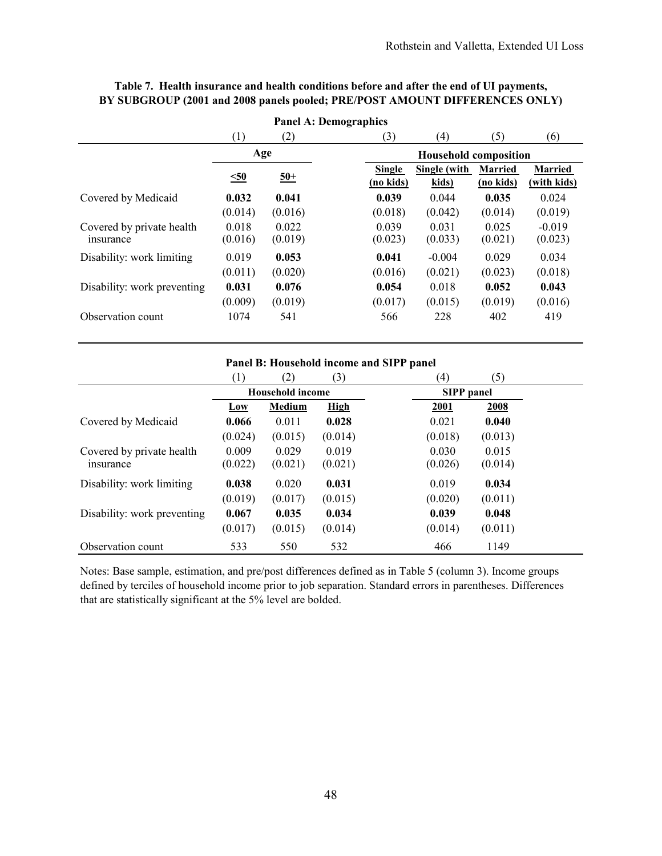| <b>Panel A: Demographics</b>           |                  |                  |                     |                              |                             |                               |  |  |  |
|----------------------------------------|------------------|------------------|---------------------|------------------------------|-----------------------------|-------------------------------|--|--|--|
|                                        | (1)              | (2)              | (3)                 | (4)                          | (5)                         | (6)                           |  |  |  |
|                                        | Age              |                  |                     | <b>Household composition</b> |                             |                               |  |  |  |
|                                        | $\leq 50$        | $50+$            | Single<br>(no kids) | Single (with<br>kids)        | <b>Married</b><br>(no kids) | <b>Married</b><br>(with kids) |  |  |  |
| Covered by Medicaid                    | 0.032            | 0.041            | 0.039               | 0.044                        | 0.035                       | 0.024                         |  |  |  |
|                                        | (0.014)          | (0.016)          | (0.018)             | (0.042)                      | (0.014)                     | (0.019)                       |  |  |  |
| Covered by private health<br>insurance | 0.018<br>(0.016) | 0.022<br>(0.019) | 0.039<br>(0.023)    | 0.031<br>(0.033)             | 0.025<br>(0.021)            | $-0.019$<br>(0.023)           |  |  |  |
| Disability: work limiting              | 0.019            | 0.053            | 0.041               | $-0.004$                     | 0.029                       | 0.034                         |  |  |  |
|                                        | (0.011)          | (0.020)          | (0.016)             | (0.021)                      | (0.023)                     | (0.018)                       |  |  |  |
| Disability: work preventing            | 0.031            | 0.076            | 0.054               | 0.018                        | 0.052                       | 0.043                         |  |  |  |
|                                        | (0.009)          | (0.019)          | (0.017)             | (0.015)                      | (0.019)                     | (0.016)                       |  |  |  |
| Observation count                      | 1074             | 541              | 566                 | 228                          | 402                         | 419                           |  |  |  |

# **Table 7. Health insurance and health conditions before and after the end of UI payments, BY SUBGROUP (2001 and 2008 panels pooled; PRE/POST AMOUNT DIFFERENCES ONLY)**

### **Panel B: Household income and SIPP panel**

|                             | (1)     | (2)                     | (3)         | (4)<br>(5)         |
|-----------------------------|---------|-------------------------|-------------|--------------------|
|                             |         | <b>Household income</b> |             | <b>SIPP</b> panel  |
|                             | Low     | Medium                  | <b>High</b> | 2001<br>2008       |
| Covered by Medicaid         | 0.066   | 0.011                   | 0.028       | 0.021<br>0.040     |
|                             | (0.024) | (0.015)                 | (0.014)     | (0.018)<br>(0.013) |
| Covered by private health   | 0.009   | 0.029                   | 0.019       | 0.030<br>0.015     |
| insurance                   | (0.022) | (0.021)                 | (0.021)     | (0.026)<br>(0.014) |
| Disability: work limiting   | 0.038   | 0.020                   | 0.031       | 0.019<br>0.034     |
|                             | (0.019) | (0.017)                 | (0.015)     | (0.020)<br>(0.011) |
| Disability: work preventing | 0.067   | 0.035                   | 0.034       | 0.039<br>0.048     |
|                             | (0.017) | (0.015)                 | (0.014)     | (0.014)<br>(0.011) |
| Observation count           | 533     | 550                     | 532         | 466<br>1149        |

Notes: Base sample, estimation, and pre/post differences defined as in Table 5 (column 3). Income groups defined by terciles of household income prior to job separation. Standard errors in parentheses. Differences that are statistically significant at the 5% level are bolded.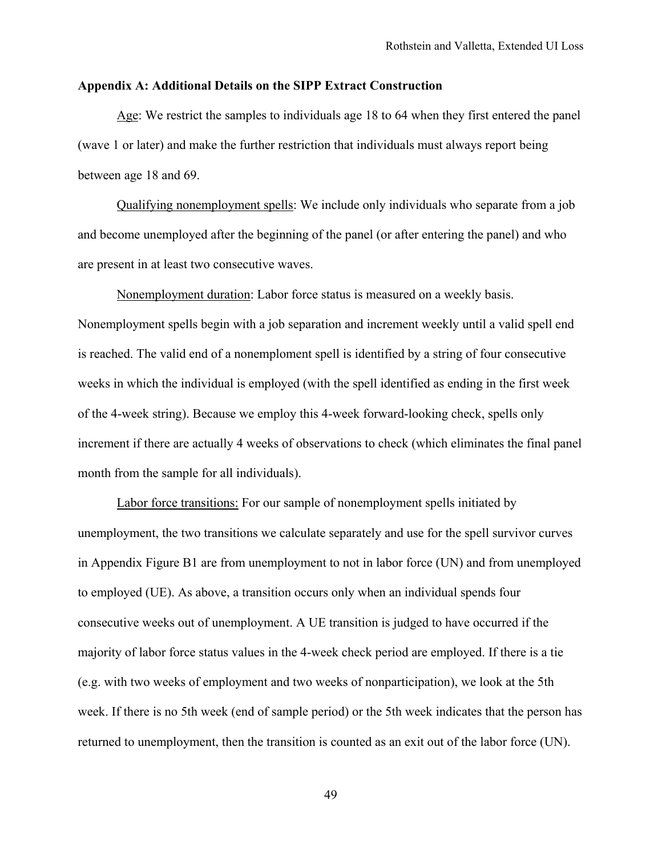## **Appendix A: Additional Details on the SIPP Extract Construction**

Age: We restrict the samples to individuals age 18 to 64 when they first entered the panel (wave 1 or later) and make the further restriction that individuals must always report being between age 18 and 69.

Qualifying nonemployment spells: We include only individuals who separate from a job and become unemployed after the beginning of the panel (or after entering the panel) and who are present in at least two consecutive waves.

Nonemployment duration: Labor force status is measured on a weekly basis. Nonemployment spells begin with a job separation and increment weekly until a valid spell end is reached. The valid end of a nonemploment spell is identified by a string of four consecutive weeks in which the individual is employed (with the spell identified as ending in the first week of the 4-week string). Because we employ this 4-week forward-looking check, spells only increment if there are actually 4 weeks of observations to check (which eliminates the final panel month from the sample for all individuals).

Labor force transitions: For our sample of nonemployment spells initiated by unemployment, the two transitions we calculate separately and use for the spell survivor curves in Appendix Figure B1 are from unemployment to not in labor force (UN) and from unemployed to employed (UE). As above, a transition occurs only when an individual spends four consecutive weeks out of unemployment. A UE transition is judged to have occurred if the majority of labor force status values in the 4-week check period are employed. If there is a tie (e.g. with two weeks of employment and two weeks of nonparticipation), we look at the 5th week. If there is no 5th week (end of sample period) or the 5th week indicates that the person has returned to unemployment, then the transition is counted as an exit out of the labor force (UN).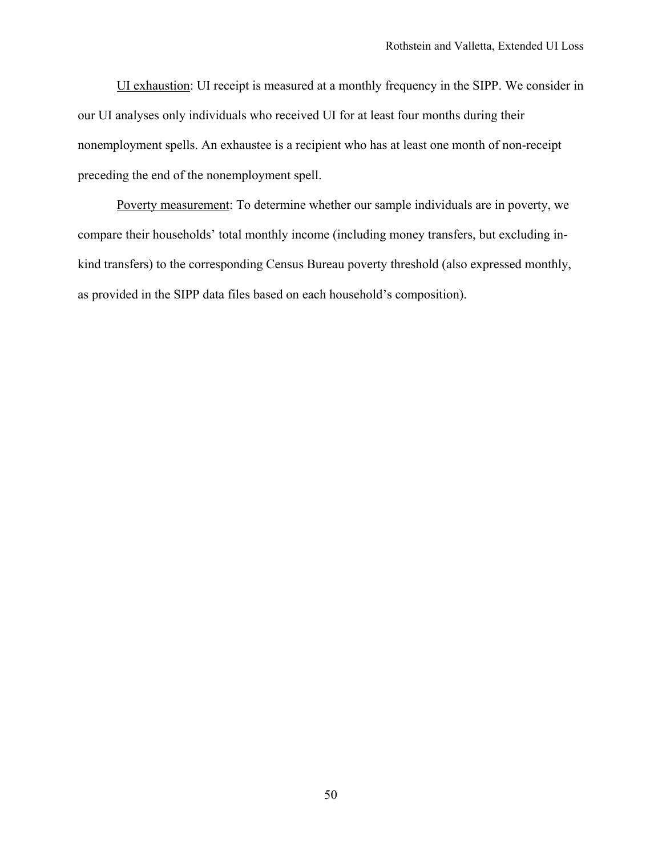UI exhaustion: UI receipt is measured at a monthly frequency in the SIPP. We consider in our UI analyses only individuals who received UI for at least four months during their nonemployment spells. An exhaustee is a recipient who has at least one month of non-receipt preceding the end of the nonemployment spell.

Poverty measurement: To determine whether our sample individuals are in poverty, we compare their households' total monthly income (including money transfers, but excluding inkind transfers) to the corresponding Census Bureau poverty threshold (also expressed monthly, as provided in the SIPP data files based on each household's composition).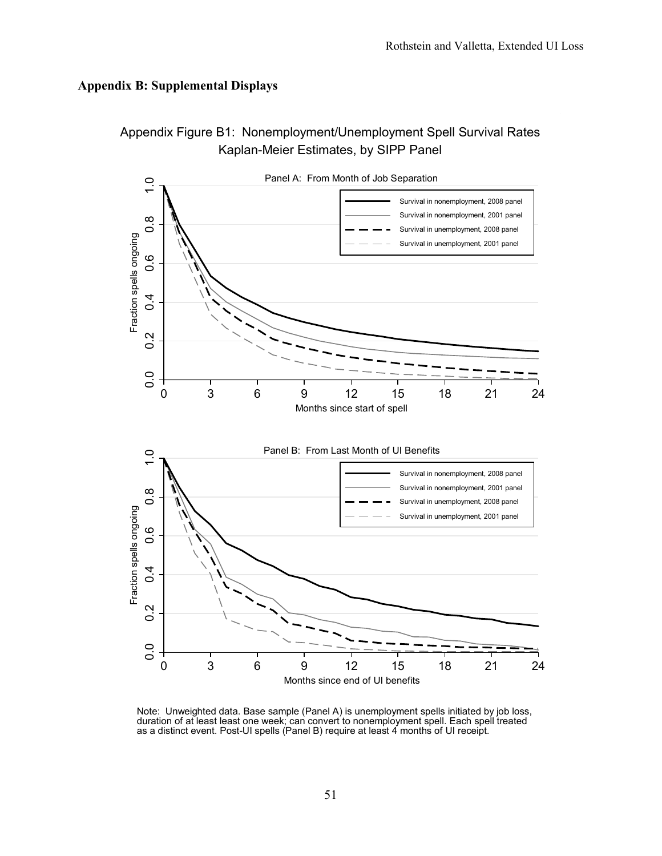# **Appendix B: Supplemental Displays**



Note: Unweighted data. Base sample (Panel A) is unemployment spells initiated by job loss, duration of at least least one week; can convert to nonemployment spell. Each spell treated as a distinct event. Post-UI spells (Panel B) require at least 4 months of UI receipt.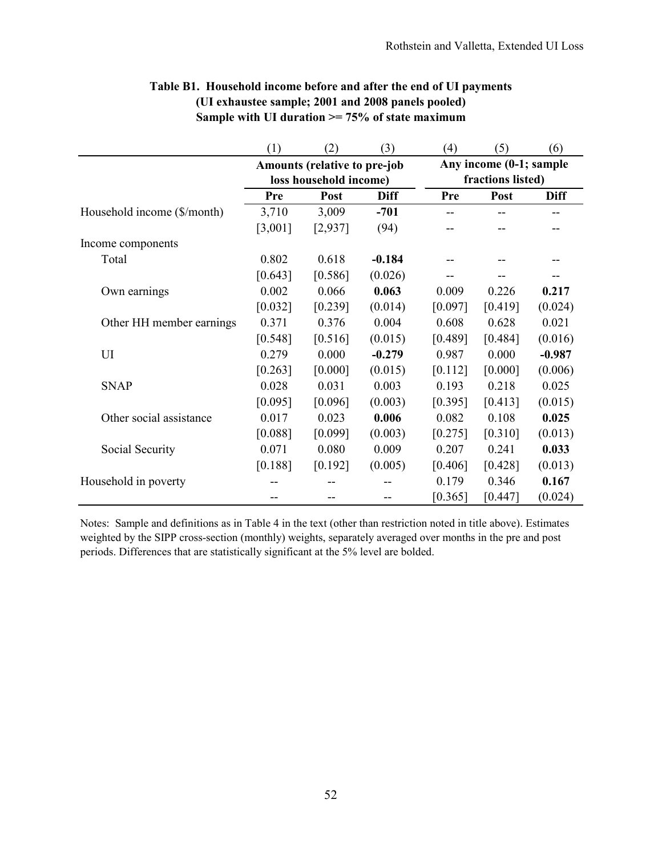|                             | (1)     | (2)                                                    | (3)         | (4)                                          | (5)     | (6)         |  |
|-----------------------------|---------|--------------------------------------------------------|-------------|----------------------------------------------|---------|-------------|--|
|                             |         | Amounts (relative to pre-job<br>loss household income) |             | Any income (0-1; sample<br>fractions listed) |         |             |  |
|                             | Pre     | Post                                                   | <b>Diff</b> | Pre                                          | Post    | <b>Diff</b> |  |
| Household income (\$/month) | 3,710   | 3,009                                                  | $-701$      |                                              |         |             |  |
|                             | [3,001] | [2,937]                                                | (94)        |                                              |         |             |  |
| Income components           |         |                                                        |             |                                              |         |             |  |
| Total                       | 0.802   | 0.618                                                  | $-0.184$    |                                              |         |             |  |
|                             | [0.643] | [0.586]                                                | (0.026)     |                                              |         |             |  |
| Own earnings                | 0.002   | 0.066                                                  | 0.063       | 0.009                                        | 0.226   | 0.217       |  |
|                             | [0.032] | [0.239]                                                | (0.014)     | [0.097]                                      | [0.419] | (0.024)     |  |
| Other HH member earnings    | 0.371   | 0.376                                                  | 0.004       | 0.608                                        | 0.628   | 0.021       |  |
|                             | [0.548] | [0.516]                                                | (0.015)     | [0.489]                                      | [0.484] | (0.016)     |  |
| UI                          | 0.279   | 0.000                                                  | $-0.279$    | 0.987                                        | 0.000   | $-0.987$    |  |
|                             | [0.263] | [0.000]                                                | (0.015)     | [0.112]                                      | [0.000] | (0.006)     |  |
| <b>SNAP</b>                 | 0.028   | 0.031                                                  | 0.003       | 0.193                                        | 0.218   | 0.025       |  |
|                             | [0.095] | [0.096]                                                | (0.003)     | [0.395]                                      | [0.413] | (0.015)     |  |
| Other social assistance     | 0.017   | 0.023                                                  | 0.006       | 0.082                                        | 0.108   | 0.025       |  |
|                             | [0.088] | [0.099]                                                | (0.003)     | [0.275]                                      | [0.310] | (0.013)     |  |
| Social Security             | 0.071   | 0.080                                                  | 0.009       | 0.207                                        | 0.241   | 0.033       |  |
|                             | [0.188] | [0.192]                                                | (0.005)     | [0.406]                                      | [0.428] | (0.013)     |  |
| Household in poverty        |         |                                                        |             | 0.179                                        | 0.346   | 0.167       |  |
|                             |         |                                                        |             | [0.365]                                      | [0.447] | (0.024)     |  |

# **Table B1. Household income before and after the end of UI payments (UI exhaustee sample; 2001 and 2008 panels pooled) Sample with UI duration >= 75% of state maximum**

Notes: Sample and definitions as in Table 4 in the text (other than restriction noted in title above). Estimates weighted by the SIPP cross-section (monthly) weights, separately averaged over months in the pre and post periods. Differences that are statistically significant at the 5% level are bolded.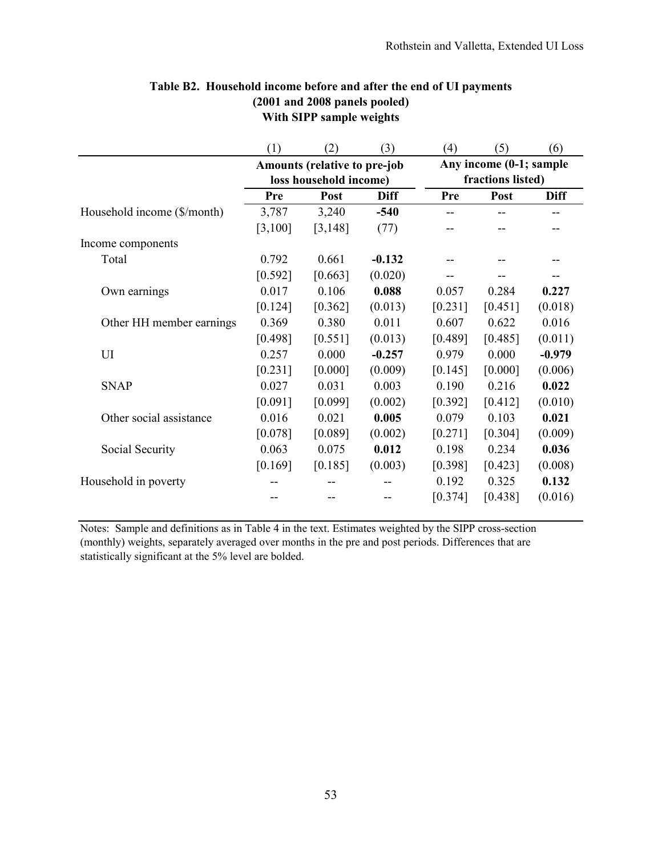|                             | (1)                          | (2)      | (3)         | (4)                     | (5)     | (6)         |  |
|-----------------------------|------------------------------|----------|-------------|-------------------------|---------|-------------|--|
|                             | Amounts (relative to pre-job |          |             | Any income (0-1; sample |         |             |  |
|                             | loss household income)       |          |             | fractions listed)       |         |             |  |
|                             | Pre                          | Post     | <b>Diff</b> | Pre                     | Post    | <b>Diff</b> |  |
| Household income (\$/month) | 3,787                        | 3,240    | $-540$      |                         |         |             |  |
|                             | [3,100]                      | [3, 148] | (77)        |                         |         |             |  |
| Income components           |                              |          |             |                         |         |             |  |
| Total                       | 0.792                        | 0.661    | $-0.132$    |                         |         |             |  |
|                             | [0.592]                      | [0.663]  | (0.020)     |                         |         |             |  |
| Own earnings                | 0.017                        | 0.106    | 0.088       | 0.057                   | 0.284   | 0.227       |  |
|                             | [0.124]                      | [0.362]  | (0.013)     | [0.231]                 | [0.451] | (0.018)     |  |
| Other HH member earnings    | 0.369                        | 0.380    | 0.011       | 0.607                   | 0.622   | 0.016       |  |
|                             | [0.498]                      | [0.551]  | (0.013)     | [0.489]                 | [0.485] | (0.011)     |  |
| UI                          | 0.257                        | 0.000    | $-0.257$    | 0.979                   | 0.000   | $-0.979$    |  |
|                             | [0.231]                      | [0.000]  | (0.009)     | [0.145]                 | [0.000] | (0.006)     |  |
| <b>SNAP</b>                 | 0.027                        | 0.031    | 0.003       | 0.190                   | 0.216   | 0.022       |  |
|                             | [0.091]                      | [0.099]  | (0.002)     | [0.392]                 | [0.412] | (0.010)     |  |
| Other social assistance     | 0.016                        | 0.021    | 0.005       | 0.079                   | 0.103   | 0.021       |  |
|                             | [0.078]                      | [0.089]  | (0.002)     | [0.271]                 | [0.304] | (0.009)     |  |
| Social Security             | 0.063                        | 0.075    | 0.012       | 0.198                   | 0.234   | 0.036       |  |
|                             | [0.169]                      | [0.185]  | (0.003)     | [0.398]                 | [0.423] | (0.008)     |  |
| Household in poverty        |                              |          |             | 0.192                   | 0.325   | 0.132       |  |
|                             |                              |          |             | [0.374]                 | [0.438] | (0.016)     |  |

# **Table B2. Household income before and after the end of UI payments (2001 and 2008 panels pooled) With SIPP sample weights**

Notes: Sample and definitions as in Table 4 in the text. Estimates weighted by the SIPP cross-section (monthly) weights, separately averaged over months in the pre and post periods. Differences that are statistically significant at the 5% level are bolded.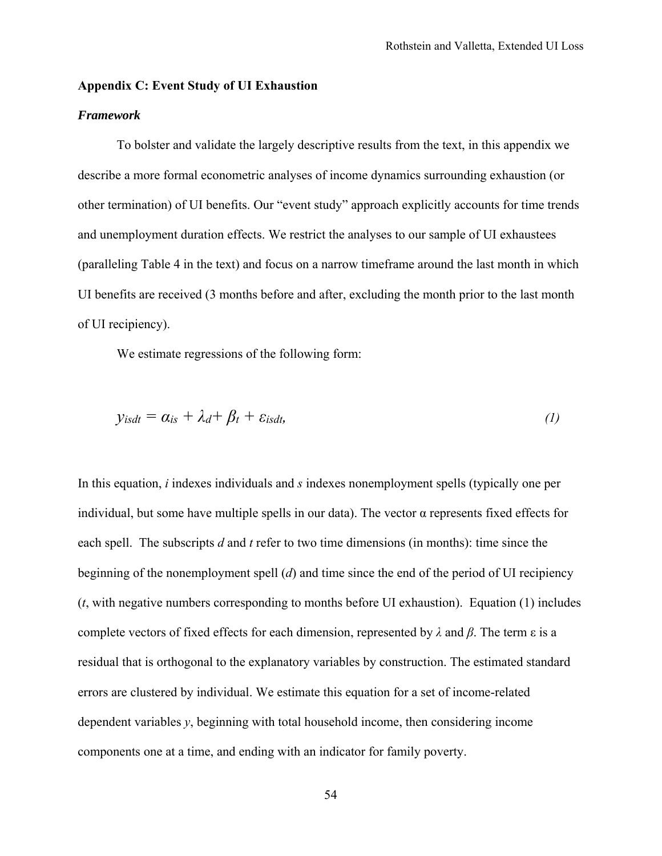### **Appendix C: Event Study of UI Exhaustion**

# *Framework*

 To bolster and validate the largely descriptive results from the text, in this appendix we describe a more formal econometric analyses of income dynamics surrounding exhaustion (or other termination) of UI benefits. Our "event study" approach explicitly accounts for time trends and unemployment duration effects. We restrict the analyses to our sample of UI exhaustees (paralleling Table 4 in the text) and focus on a narrow timeframe around the last month in which UI benefits are received (3 months before and after, excluding the month prior to the last month of UI recipiency).

We estimate regressions of the following form:

$$
y_{isdt} = \alpha_{is} + \lambda_d + \beta_t + \varepsilon_{isdt}, \qquad (1)
$$

In this equation, *i* indexes individuals and *s* indexes nonemployment spells (typically one per individual, but some have multiple spells in our data). The vector  $\alpha$  represents fixed effects for each spell. The subscripts *d* and *t* refer to two time dimensions (in months): time since the beginning of the nonemployment spell (*d*) and time since the end of the period of UI recipiency (*t*, with negative numbers corresponding to months before UI exhaustion). Equation (1) includes complete vectors of fixed effects for each dimension, represented by *λ* and *β*. The term ε is a residual that is orthogonal to the explanatory variables by construction. The estimated standard errors are clustered by individual. We estimate this equation for a set of income-related dependent variables *y*, beginning with total household income, then considering income components one at a time, and ending with an indicator for family poverty.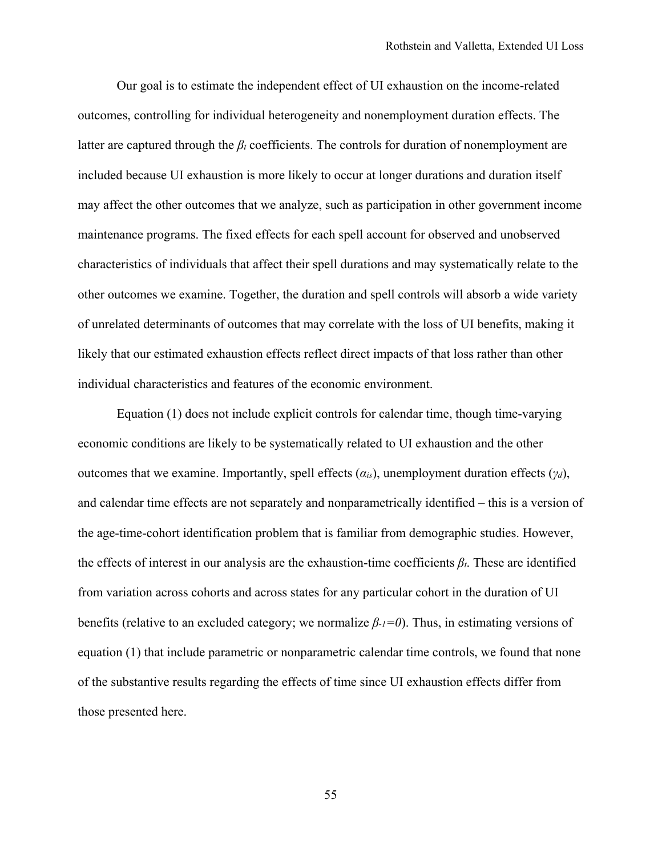Our goal is to estimate the independent effect of UI exhaustion on the income-related outcomes, controlling for individual heterogeneity and nonemployment duration effects. The latter are captured through the *βt* coefficients. The controls for duration of nonemployment are included because UI exhaustion is more likely to occur at longer durations and duration itself may affect the other outcomes that we analyze, such as participation in other government income maintenance programs. The fixed effects for each spell account for observed and unobserved characteristics of individuals that affect their spell durations and may systematically relate to the other outcomes we examine. Together, the duration and spell controls will absorb a wide variety of unrelated determinants of outcomes that may correlate with the loss of UI benefits, making it likely that our estimated exhaustion effects reflect direct impacts of that loss rather than other individual characteristics and features of the economic environment.

Equation (1) does not include explicit controls for calendar time, though time-varying economic conditions are likely to be systematically related to UI exhaustion and the other outcomes that we examine. Importantly, spell effects (*αis*), unemployment duration effects (*γd*), and calendar time effects are not separately and nonparametrically identified – this is a version of the age-time-cohort identification problem that is familiar from demographic studies. However, the effects of interest in our analysis are the exhaustion-time coefficients *βt*. These are identified from variation across cohorts and across states for any particular cohort in the duration of UI benefits (relative to an excluded category; we normalize *β-1=0*). Thus, in estimating versions of equation (1) that include parametric or nonparametric calendar time controls, we found that none of the substantive results regarding the effects of time since UI exhaustion effects differ from those presented here.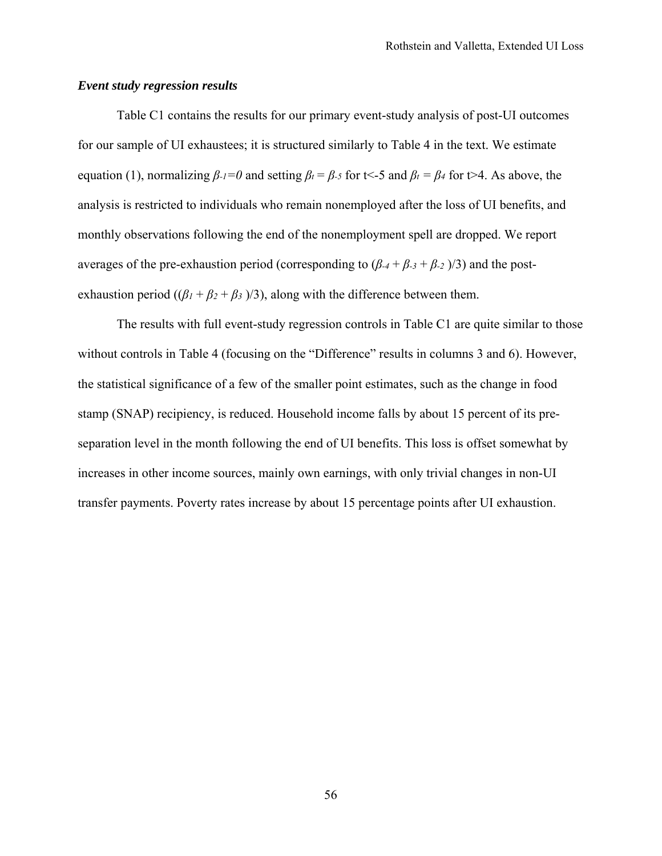# *Event study regression results*

Table C1 contains the results for our primary event-study analysis of post-UI outcomes for our sample of UI exhaustees; it is structured similarly to Table 4 in the text. We estimate equation (1), normalizing  $\beta_{-1}=0$  and setting  $\beta_t = \beta_{-5}$  for t $\lt$ -5 and  $\beta_t = \beta_4$  for t $\gt$ 4. As above, the analysis is restricted to individuals who remain nonemployed after the loss of UI benefits, and monthly observations following the end of the nonemployment spell are dropped. We report averages of the pre-exhaustion period (corresponding to  $(\beta_{-4} + \beta_{-3} + \beta_{-2})/3$ ) and the postexhaustion period ( $(\beta_1 + \beta_2 + \beta_3)/3$ ), along with the difference between them.

The results with full event-study regression controls in Table C1 are quite similar to those without controls in Table 4 (focusing on the "Difference" results in columns 3 and 6). However, the statistical significance of a few of the smaller point estimates, such as the change in food stamp (SNAP) recipiency, is reduced. Household income falls by about 15 percent of its preseparation level in the month following the end of UI benefits. This loss is offset somewhat by increases in other income sources, mainly own earnings, with only trivial changes in non-UI transfer payments. Poverty rates increase by about 15 percentage points after UI exhaustion.